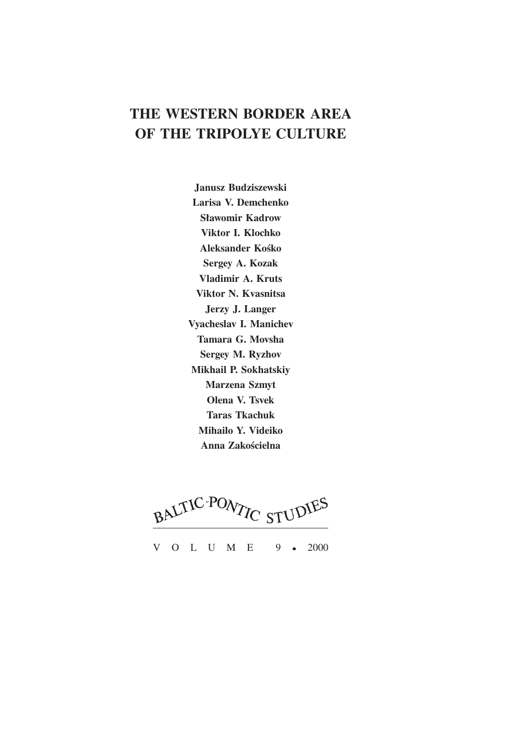# **THE WESTERN BORDER AREA OF THE TRIPOLYE CULTURE**

**Janusz Budziszewski Larisa V. Demchenko Sławomir Kadrow Viktor I. Klochko Aleksander Kośko Sergey A. Kozak Vladimir A. Kruts Viktor N. Kvasnitsa Jerzy J. Langer Vyacheslav I. Manichev Tamara G. Movsha Sergey M. Ryzhov Mikhail P. Sokhatskiy Marzena Szmyt Olena V. Tsvek Taras Tkachuk Mihailo Y. Videiko Anna Zakościelna**

BALTIC-PONTIC STUDIES

V O L U M E 9 2000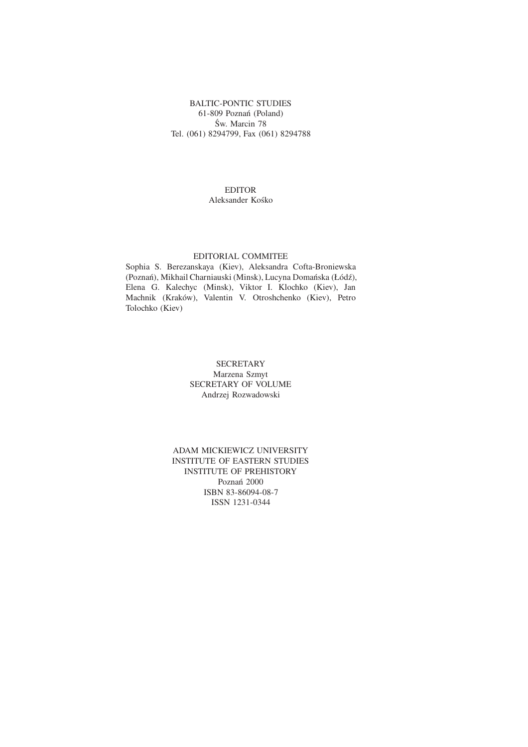## BALTIC-PONTIC STUDIES 61-809 Poznań (Poland) Św. Marcin 78 Tel. (061) 8294799, Fax (061) 8294788

## EDITOR Aleksander Kośko

## EDITORIAL COMMITEE

Sophia S. Berezanskaya (Kiev), Aleksandra Cofta-Broniewska (Poznań), Mikhail Charniauski (Minsk), Lucyna Domańska (Łódź), Elena G. Kalechyc (Minsk), Viktor I. Klochko (Kiev), Jan Machnik (Kraków), Valentin V. Otroshchenko (Kiev), Petro Tolochko (Kiev)

## **SECRETARY** Marzena Szmyt SECRETARY OF VOLUME Andrzej Rozwadowski

## ADAM MICKIEWICZ UNIVERSITY INSTITUTE OF EASTERN STUDIES INSTITUTE OF PREHISTORY Poznań 2000 ISBN 83-86094-08-7 ISSN 1231-0344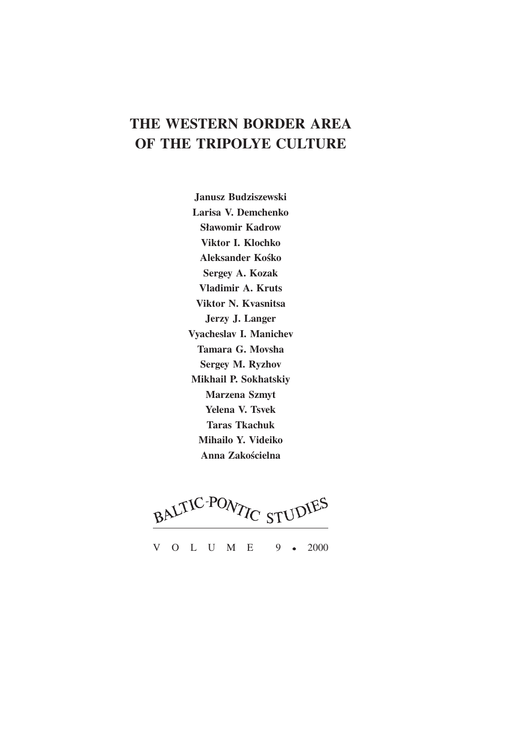# **THE WESTERN BORDER AREA OF THE TRIPOLYE CULTURE**

**Janusz Budziszewski Larisa V. Demchenko Sławomir Kadrow Viktor I. Klochko Aleksander Kośko Sergey A. Kozak Vladimir A. Kruts Viktor N. Kvasnitsa Jerzy J. Langer Vyacheslav I. Manichev Tamara G. Movsha Sergey M. Ryzhov Mikhail P. Sokhatskiy Marzena Szmyt Yelena V. Tsvek Taras Tkachuk Mihailo Y. Videiko Anna Zakościelna**

BALTIC-PONTIC STUDIES

V O L U M E 9 2000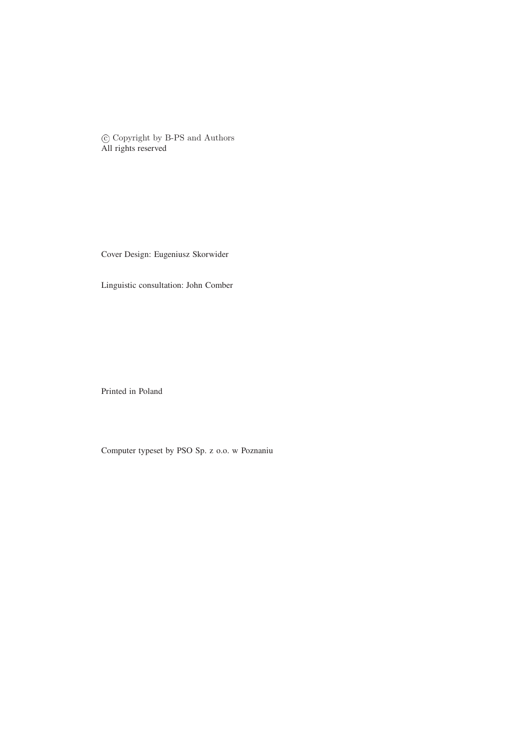c Copyright by B-PS and Authors All rights reserved

Cover Design: Eugeniusz Skorwider

Linguistic consultation: John Comber

Printed in Poland

Computer typeset by PSO Sp. z o.o. w Poznaniu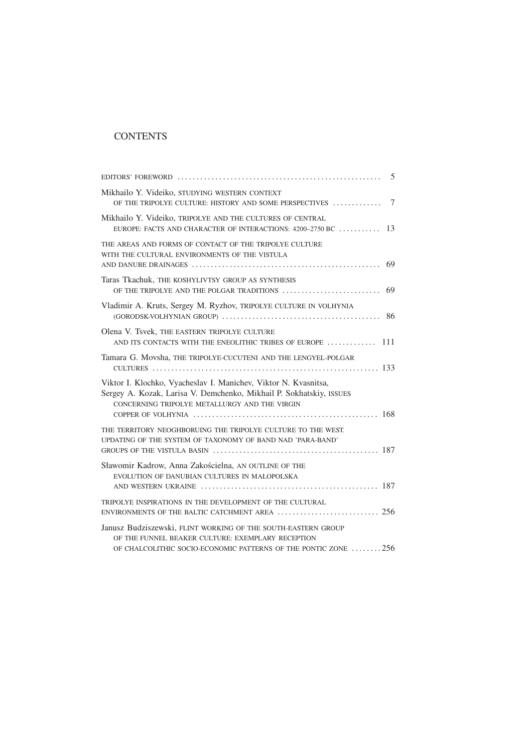# **CONTENTS**

| 5                                                                                                                                                                                       |
|-----------------------------------------------------------------------------------------------------------------------------------------------------------------------------------------|
| Mikhailo Y. Videiko, STUDYING WESTERN CONTEXT<br>$7\phantom{.0}$<br>OF THE TRIPOLYE CULTURE: HISTORY AND SOME PERSPECTIVES                                                              |
| Mikhailo Y. Videiko, TRIPOLYE AND THE CULTURES OF CENTRAL<br>13<br>EUROPE: FACTS AND CHARACTER OF INTERACTIONS: 4200-2750 BC                                                            |
| THE AREAS AND FORMS OF CONTACT OF THE TRIPOLYE CULTURE<br>WITH THE CULTURAL ENVIRONMENTS OF THE VISTULA<br>69                                                                           |
| Taras Tkachuk, THE KOSHYLIVTSY GROUP AS SYNTHESIS<br>69<br>OF THE TRIPOLYE AND THE POLGAR TRADITIONS                                                                                    |
| Vladimir A. Kruts, Sergey M. Ryzhov, TRIPOLYE CULTURE IN VOLHYNIA                                                                                                                       |
| Olena V. Tsvek, THE EASTERN TRIPOLYE CULTURE<br>AND ITS CONTACTS WITH THE ENEOLITHIC TRIBES OF EUROPE  111                                                                              |
| Tamara G. Movsha, THE TRIPOLYE-CUCUTENI AND THE LENGYEL-POLGAR                                                                                                                          |
| Viktor I. Klochko, Vyacheslav I. Manichev, Viktor N. Kvasnitsa,<br>Sergey A. Kozak, Larisa V. Demchenko, Mikhail P. Sokhatskiy, ISSUES<br>CONCERNING TRIPOLYE METALLURGY AND THE VIRGIN |
| THE TERRITORY NEOGHBORUING THE TRIPOLYE CULTURE TO THE WEST.<br>UPDATING OF THE SYSTEM OF TAXONOMY OF BAND NAD 'PARA-BAND'                                                              |
| Sławomir Kadrow, Anna Zakościelna, AN OUTLINE OF THE<br>EVOLUTION OF DANUBIAN CULTURES IN MAŁOPOLSKA                                                                                    |
| TRIPOLYE INSPIRATIONS IN THE DEVELOPMENT OF THE CULTURAL                                                                                                                                |
| Janusz Budziszewski, FLINT WORKING OF THE SOUTH-EASTERN GROUP<br>OF THE FUNNEL BEAKER CULTURE: EXEMPLARY RECEPTION<br>OF CHALCOLITHIC SOCIO-ECONOMIC PATTERNS OF THE PONTIC ZONE 256    |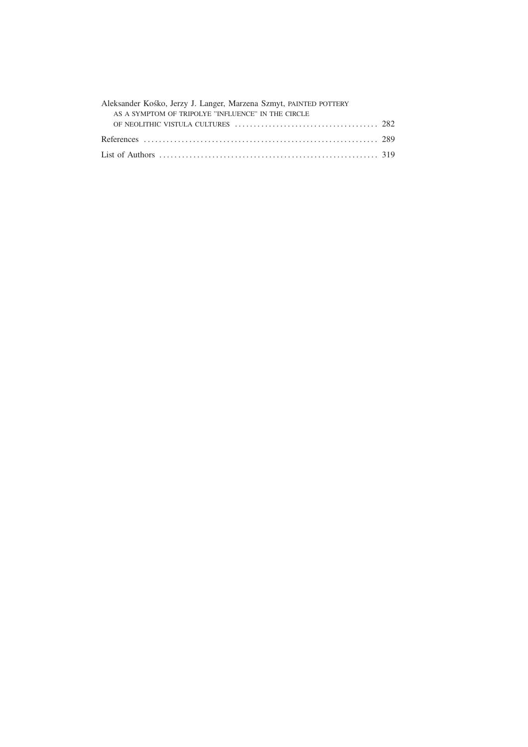| Aleksander Kośko, Jerzy J. Langer, Marzena Szmyt, PAINTED POTTERY |  |
|-------------------------------------------------------------------|--|
| AS A SYMPTOM OF TRIPOLYE "INFLUENCE" IN THE CIRCLE                |  |
|                                                                   |  |
|                                                                   |  |
|                                                                   |  |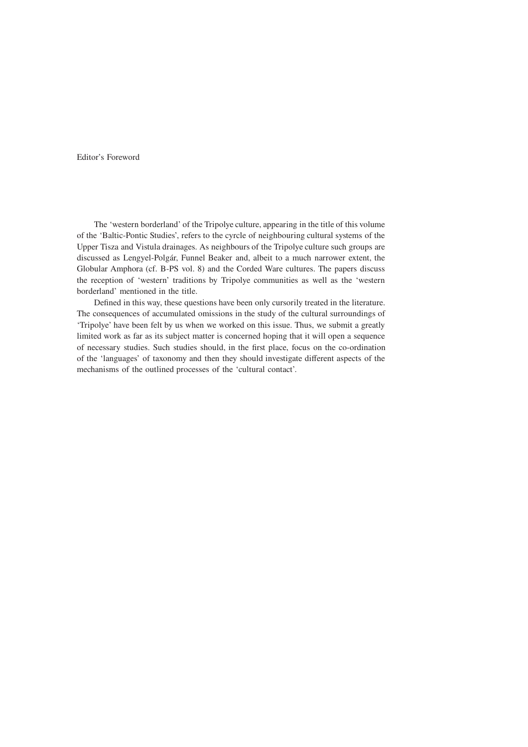Editor's Foreword

The 'western borderland' of the Tripolye culture, appearing in the title of this volume of the 'Baltic-Pontic Studies', refers to the cyrcle of neighbouring cultural systems of the Upper Tisza and Vistula drainages. As neighbours of the Tripolye culture such groups are discussed as Lengyel-Polg´ar, Funnel Beaker and, albeit to a much narrower extent, the Globular Amphora (cf. B-PS vol. 8) and the Corded Ware cultures. The papers discuss the reception of 'western' traditions by Tripolye communities as well as the 'western borderland' mentioned in the title.

Defined in this way, these questions have been only cursorily treated in the literature. The consequences of accumulated omissions in the study of the cultural surroundings of 'Tripolye' have been felt by us when we worked on this issue. Thus, we submit a greatly limited work as far as its subject matter is concerned hoping that it will open a sequence of necessary studies. Such studies should, in the first place, focus on the co-ordination of the 'languages' of taxonomy and then they should investigate different aspects of the mechanisms of the outlined processes of the 'cultural contact'.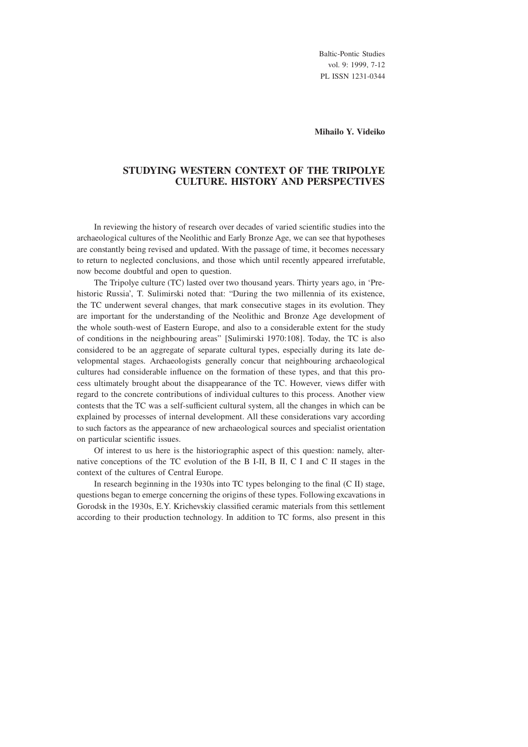Baltic-Pontic Studies vol. 9: 1999, 7-12 PL ISSN 1231-0344

#### **Mihailo Y. Videiko**

# **STUDYING WESTERN CONTEXT OF THE TRIPOLYE CULTURE. HISTORY AND PERSPECTIVES**

In reviewing the history of research over decades of varied scientific studies into the archaeological cultures of the Neolithic and Early Bronze Age, we can see that hypotheses are constantly being revised and updated. With the passage of time, it becomes necessary to return to neglected conclusions, and those which until recently appeared irrefutable, now become doubtful and open to question.

The Tripolye culture (TC) lasted over two thousand years. Thirty years ago, in 'Prehistoric Russia', T. Sulimirski noted that: "During the two millennia of its existence, the TC underwent several changes, that mark consecutive stages in its evolution. They are important for the understanding of the Neolithic and Bronze Age development of the whole south-west of Eastern Europe, and also to a considerable extent for the study of conditions in the neighbouring areas" [Sulimirski 1970:108]. Today, the TC is also considered to be an aggregate of separate cultural types, especially during its late developmental stages. Archaeologists generally concur that neighbouring archaeological cultures had considerable influence on the formation of these types, and that this process ultimately brought about the disappearance of the TC. However, views differ with regard to the concrete contributions of individual cultures to this process. Another view contests that the TC was a self-sufficient cultural system, all the changes in which can be explained by processes of internal development. All these considerations vary according to such factors as the appearance of new archaeological sources and specialist orientation on particular scientific issues.

Of interest to us here is the historiographic aspect of this question: namely, alternative conceptions of the TC evolution of the B I-II, B II, C I and C II stages in the context of the cultures of Central Europe.

In research beginning in the 1930s into TC types belonging to the final (C II) stage, questions began to emerge concerning the origins of these types. Following excavations in Gorodsk in the 1930s, E.Y. Krichevskiy classified ceramic materials from this settlement according to their production technology. In addition to TC forms, also present in this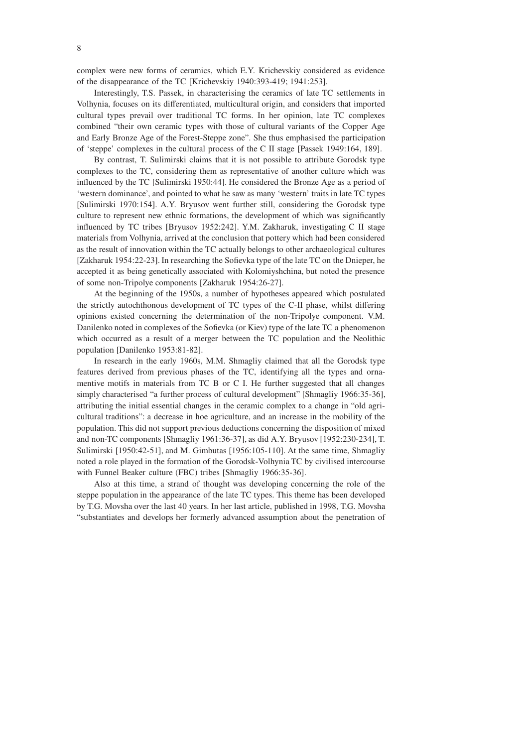complex were new forms of ceramics, which E.Y. Krichevskiy considered as evidence of the disappearance of the TC [Krichevskiy 1940:393-419; 1941:253].

Interestingly, T.S. Passek, in characterising the ceramics of late TC settlements in Volhynia, focuses on its differentiated, multicultural origin, and considers that imported cultural types prevail over traditional TC forms. In her opinion, late TC complexes combined "their own ceramic types with those of cultural variants of the Copper Age and Early Bronze Age of the Forest-Steppe zone". She thus emphasised the participation of 'steppe' complexes in the cultural process of the C II stage [Passek 1949:164, 189].

By contrast, T. Sulimirski claims that it is not possible to attribute Gorodsk type complexes to the TC, considering them as representative of another culture which was influenced by the TC [Sulimirski 1950:44]. He considered the Bronze Age as a period of 'western dominance', and pointed to what he saw as many 'western' traits in late TC types [Sulimirski 1970:154]. A.Y. Bryusov went further still, considering the Gorodsk type culture to represent new ethnic formations, the development of which was significantly influenced by TC tribes [Bryusov 1952:242]. Y.M. Zakharuk, investigating C II stage materials from Volhynia, arrived at the conclusion that pottery which had been considered as the result of innovation within the TC actually belongs to other archaeological cultures [Zakharuk 1954:22-23]. In researching the Sofievka type of the late TC on the Dnieper, he accepted it as being genetically associated with Kolomiyshchina, but noted the presence of some non-Tripolye components [Zakharuk 1954:26-27].

At the beginning of the 1950s, a number of hypotheses appeared which postulated the strictly autochthonous development of TC types of the C-II phase, whilst differing opinions existed concerning the determination of the non-Tripolye component. V.M. Danilenko noted in complexes of the Sofievka (or Kiev) type of the late TC a phenomenon which occurred as a result of a merger between the TC population and the Neolithic population [Danilenko 1953:81-82].

In research in the early 1960s, M.M. Shmagliy claimed that all the Gorodsk type features derived from previous phases of the TC, identifying all the types and ornamentive motifs in materials from TC B or C I. He further suggested that all changes simply characterised "a further process of cultural development" [Shmagliy 1966:35-36], attributing the initial essential changes in the ceramic complex to a change in "old agricultural traditions": a decrease in hoe agriculture, and an increase in the mobility of the population. This did not support previous deductions concerning the disposition of mixed and non-TC components [Shmagliy 1961:36-37], as did A.Y. Bryusov [1952:230-234], T. Sulimirski [1950:42-51], and M. Gimbutas [1956:105-110]. At the same time, Shmagliy noted a role played in the formation of the Gorodsk-Volhynia TC by civilised intercourse with Funnel Beaker culture (FBC) tribes [Shmagliy 1966:35-36].

Also at this time, a strand of thought was developing concerning the role of the steppe population in the appearance of the late TC types. This theme has been developed by T.G. Movsha over the last 40 years. In her last article, published in 1998, T.G. Movsha "substantiates and develops her formerly advanced assumption about the penetration of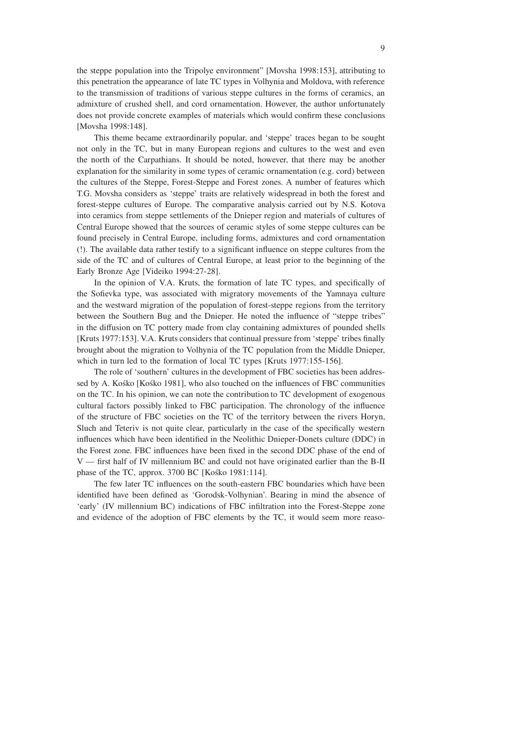the steppe population into the Tripolye environment" [Movsha 1998:153], attributing to this penetration the appearance of late TC types in Volhynia and Moldova, with reference to the transmission of traditions of various steppe cultures in the forms of ceramics, an admixture of crushed shell, and cord ornamentation. However, the author unfortunately does not provide concrete examples of materials which would confirm these conclusions [Movsha 1998:148].

This theme became extraordinarily popular, and 'steppe' traces began to be sought not only in the TC, but in many European regions and cultures to the west and even the north of the Carpathians. It should be noted, however, that there may be another explanation for the similarity in some types of ceramic ornamentation (e.g. cord) between the cultures of the Steppe, Forest-Steppe and Forest zones. A number of features which T.G. Movsha considers as 'steppe' traits are relatively widespread in both the forest and forest-steppe cultures of Europe. The comparative analysis carried out by N.S. Kotova into ceramics from steppe settlements of the Dnieper region and materials of cultures of Central Europe showed that the sources of ceramic styles of some steppe cultures can be found precisely in Central Europe, including forms, admixtures and cord ornamentation (!). The available data rather testify to a significant influence on steppe cultures from the side of the TC and of cultures of Central Europe, at least prior to the beginning of the Early Bronze Age [Videiko 1994:27-28].

In the opinion of V.A. Kruts, the formation of late TC types, and specifically of the Sofievka type, was associated with migratory movements of the Yamnaya culture and the westward migration of the population of forest-steppe regions from the territory between the Southern Bug and the Dnieper. He noted the influence of "steppe tribes" in the diffusion on TC pottery made from clay containing admixtures of pounded shells [Kruts 1977:153]. V.A. Kruts considers that continual pressure from 'steppe' tribes finally brought about the migration to Volhynia of the TC population from the Middle Dnieper, which in turn led to the formation of local TC types [Kruts 1977:155-156].

The role of 'southern' cultures in the development of FBC societies has been addressed by A. Kośko [Kośko 1981], who also touched on the influences of FBC communities on the TC. In his opinion, we can note the contribution to TC development of exogenous cultural factors possibly linked to FBC participation. The chronology of the influence of the structure of FBC societies on the TC of the territory between the rivers Horyn, Sluch and Teteriv is not quite clear, particularly in the case of the specifically western influences which have been identified in the Neolithic Dnieper-Donets culture (DDC) in the Forest zone. FBC influences have been fixed in the second DDC phase of the end of V — first half of IV millennium BC and could not have originated earlier than the B-II phase of the TC, approx. 3700 BC [Kośko 1981:114].

The few later TC influences on the south-eastern FBC boundaries which have been identified have been defined as 'Gorodsk-Volhynian'. Bearing in mind the absence of 'early' (IV millennium BC) indications of FBC infiltration into the Forest-Steppe zone and evidence of the adoption of FBC elements by the TC, it would seem more reaso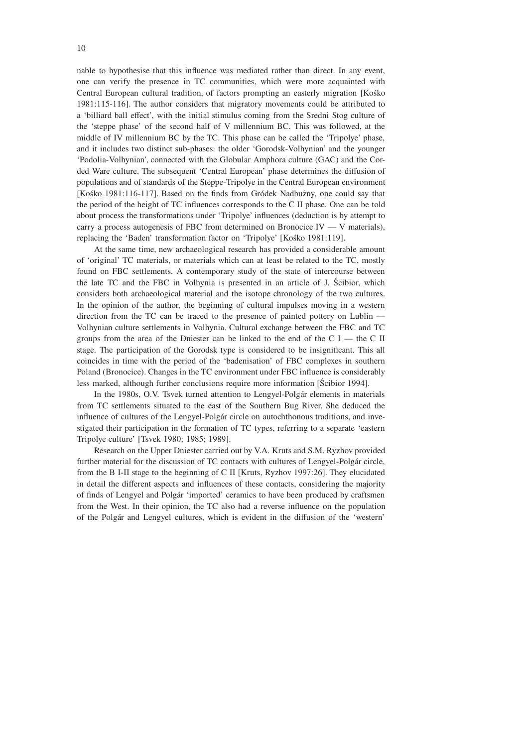nable to hypothesise that this influence was mediated rather than direct. In any event, one can verify the presence in TC communities, which were more acquainted with Central European cultural tradition, of factors prompting an easterly migration [Kośko 1981:115-116]. The author considers that migratory movements could be attributed to a 'billiard ball effect', with the initial stimulus coming from the Sredni Stog culture of the 'steppe phase' of the second half of V millennium BC. This was followed, at the middle of IV millennium BC by the TC. This phase can be called the 'Tripolye' phase, and it includes two distinct sub-phases: the older 'Gorodsk-Volhynian' and the younger 'Podolia-Volhynian', connected with the Globular Amphora culture (GAC) and the Corded Ware culture. The subsequent 'Central European' phase determines the diffusion of populations and of standards of the Steppe-Tripolye in the Central European environment [Kośko 1981:116-117]. Based on the finds from Gródek Nadbużny, one could say that the period of the height of TC influences corresponds to the C II phase. One can be told about process the transformations under 'Tripolye' influences (deduction is by attempt to carry a process autogenesis of FBC from determined on Bronocice IV — V materials), replacing the 'Baden' transformation factor on 'Tripolye' [Kośko 1981:119].

At the same time, new archaeological research has provided a considerable amount of 'original' TC materials, or materials which can at least be related to the TC, mostly found on FBC settlements. A contemporary study of the state of intercourse between the late TC and the FBC in Volhynia is presented in an article of J. Ścibior, which considers both archaeological material and the isotope chronology of the two cultures. In the opinion of the author, the beginning of cultural impulses moving in a western direction from the TC can be traced to the presence of painted pottery on Lublin — Volhynian culture settlements in Volhynia. Cultural exchange between the FBC and TC groups from the area of the Dniester can be linked to the end of the  $C I$  — the C II stage. The participation of the Gorodsk type is considered to be insignificant. This all coincides in time with the period of the 'badenisation' of FBC complexes in southern Poland (Bronocice). Changes in the TC environment under FBC influence is considerably less marked, although further conclusions require more information [Ścibior 1994].

In the 1980s, O.V. Tsvek turned attention to Lengyel-Polgár elements in materials from TC settlements situated to the east of the Southern Bug River. She deduced the influence of cultures of the Lengyel-Polgár circle on autochthonous traditions, and investigated their participation in the formation of TC types, referring to a separate 'eastern Tripolye culture' [Tsvek 1980; 1985; 1989].

Research on the Upper Dniester carried out by V.A. Kruts and S.M. Ryzhov provided further material for the discussion of TC contacts with cultures of Lengyel-Polgár circle, from the B I-II stage to the beginning of C II [Kruts, Ryzhov 1997:26]. They elucidated in detail the different aspects and influences of these contacts, considering the majority of finds of Lengyel and Polg´ar 'imported' ceramics to have been produced by craftsmen from the West. In their opinion, the TC also had a reverse influence on the population of the Polgár and Lengyel cultures, which is evident in the diffusion of the 'western'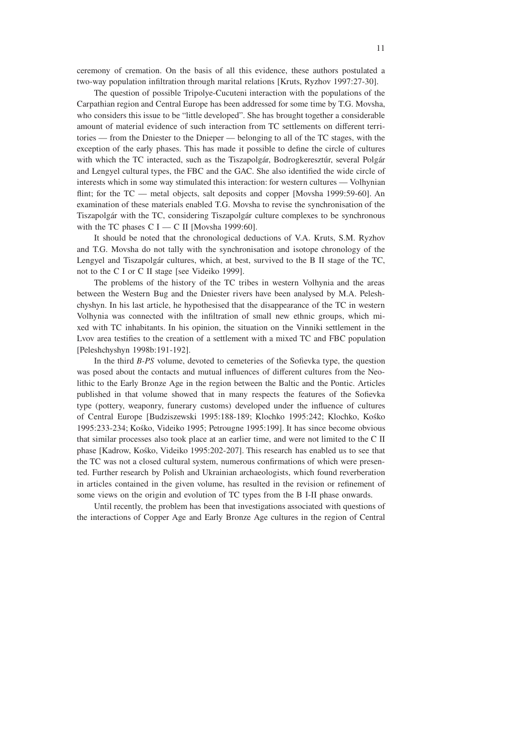ceremony of cremation. On the basis of all this evidence, these authors postulated a two-way population infiltration through marital relations [Kruts, Ryzhov 1997:27-30].

The question of possible Tripolye-Cucuteni interaction with the populations of the Carpathian region and Central Europe has been addressed for some time by T.G. Movsha, who considers this issue to be "little developed". She has brought together a considerable amount of material evidence of such interaction from TC settlements on different territories — from the Dniester to the Dnieper — belonging to all of the TC stages, with the exception of the early phases. This has made it possible to define the circle of cultures with which the TC interacted, such as the Tiszapolgár, Bodrogkeresztúr, several Polgár and Lengyel cultural types, the FBC and the GAC. She also identified the wide circle of interests which in some way stimulated this interaction: for western cultures — Volhynian flint; for the TC — metal objects, salt deposits and copper [Movsha 1999:59-60]. An examination of these materials enabled T.G. Movsha to revise the synchronisation of the Tiszapolgár with the TC, considering Tiszapolgár culture complexes to be synchronous with the TC phases C I — C II [Movsha 1999:60].

It should be noted that the chronological deductions of V.A. Kruts, S.M. Ryzhov and T.G. Movsha do not tally with the synchronisation and isotope chronology of the Lengyel and Tiszapolgár cultures, which, at best, survived to the B II stage of the TC, not to the C I or C II stage [see Videiko 1999].

The problems of the history of the TC tribes in western Volhynia and the areas between the Western Bug and the Dniester rivers have been analysed by M.A. Peleshchyshyn. In his last article, he hypothesised that the disappearance of the TC in western Volhynia was connected with the infiltration of small new ethnic groups, which mixed with TC inhabitants. In his opinion, the situation on the Vinniki settlement in the Lvov area testifies to the creation of a settlement with a mixed TC and FBC population [Peleshchyshyn 1998b:191-192].

In the third *B-PS* volume, devoted to cemeteries of the Sofievka type, the question was posed about the contacts and mutual influences of different cultures from the Neolithic to the Early Bronze Age in the region between the Baltic and the Pontic. Articles published in that volume showed that in many respects the features of the Sofievka type (pottery, weaponry, funerary customs) developed under the influence of cultures of Central Europe [Budziszewski 1995:188-189; Klochko 1995:242; Klochko, Kośko 1995:233-234; Kośko, Videiko 1995; Petrougne 1995:199]. It has since become obvious that similar processes also took place at an earlier time, and were not limited to the C II phase [Kadrow, Kośko, Videiko 1995:202-207]. This research has enabled us to see that the TC was not a closed cultural system, numerous confirmations of which were presented. Further research by Polish and Ukrainian archaeologists, which found reverberation in articles contained in the given volume, has resulted in the revision or refinement of some views on the origin and evolution of TC types from the B I-II phase onwards.

Until recently, the problem has been that investigations associated with questions of the interactions of Copper Age and Early Bronze Age cultures in the region of Central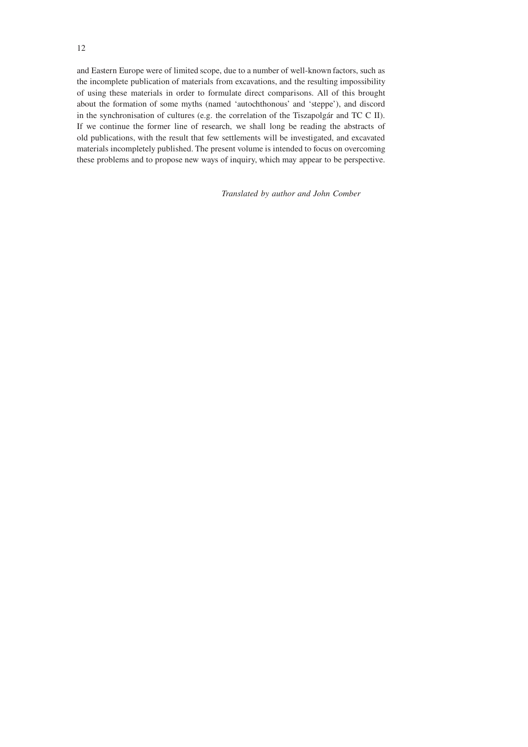and Eastern Europe were of limited scope, due to a number of well-known factors, such as the incomplete publication of materials from excavations, and the resulting impossibility of using these materials in order to formulate direct comparisons. All of this brought about the formation of some myths (named 'autochthonous' and 'steppe'), and discord in the synchronisation of cultures (e.g. the correlation of the Tiszapolgár and TC C II). If we continue the former line of research, we shall long be reading the abstracts of old publications, with the result that few settlements will be investigated, and excavated materials incompletely published. The present volume is intended to focus on overcoming these problems and to propose new ways of inquiry, which may appear to be perspective.

*Translated by author and John Comber*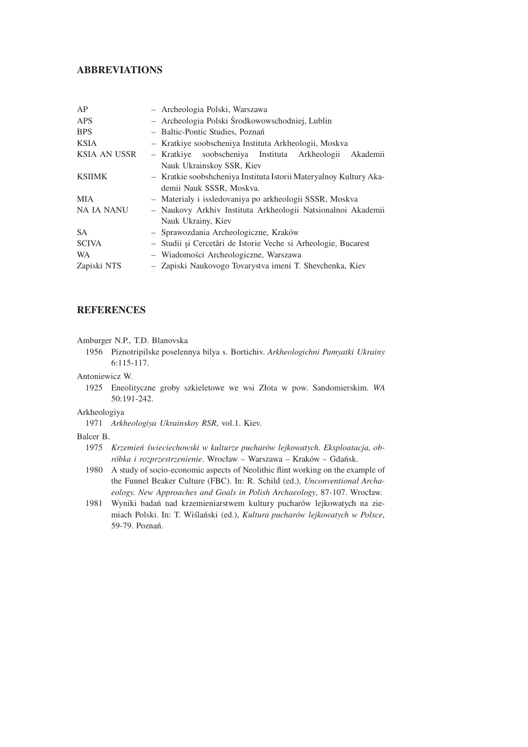# **ABBREVIATIONS**

| AP                  | - Archeologia Polski, Warszawa                                     |
|---------------------|--------------------------------------------------------------------|
| <b>APS</b>          | - Archeologia Polski Środkowowschodniej, Lublin                    |
| <b>BPS</b>          | - Baltic-Pontic Studies, Poznań                                    |
| <b>KSIA</b>         | - Kratkiye soobscheniya Instituta Arkheologii, Moskva              |
| <b>KSIA AN USSR</b> | soobscheniya Instituta Arkheologii<br>Akademii<br>– Kratkiye       |
|                     | Nauk Ukrainskoy SSR, Kiev                                          |
| <b>KSIIMK</b>       | - Kratkie soobshcheniya Instituta Istorii Materyalnoy Kultury Aka- |
|                     | demii Nauk SSSR, Moskva.                                           |
| <b>MIA</b>          | - Materialy i issledovaniya po arkheologii SSSR, Moskva            |
| NA IA NANU          | - Naukovy Arkhiv Instituta Arkheologii Natsionalnoi Akademii       |
|                     | Nauk Ukrainy, Kiev                                                 |
| <b>SA</b>           | - Sprawozdania Archeologiczne, Kraków                              |
| <b>SCIVA</b>        | - Studii și Cercetări de Istorie Veche si Arheologie, Bucarest     |
| <b>WA</b>           | - Wiadomości Archeologiczne, Warszawa                              |
| Zapiski NTS         | - Zapiski Naukovogo Tovarystva imeni T. Shevchenka, Kiev           |

# **REFERENCES**

Amburger N.P., T.D. Blanovska

1956 Piznotripilske poselennya bilya s. Bortichiv. *Arkheologichni Pamyatki Ukrainy* 6:115-117.

Antoniewicz W.

1925 Eneolityczne groby szkieletowe we wsi Złota w pow. Sandomierskim. *WA* 50:191-242.

Arkheologiya

1971 *Arkheologiya Ukrainskoy RSR*, vol.1. Kiev.

#### Balcer B.

- 1975 *Krzemień świeciechowski w kulturze pucharów lejkowatych. Eksploatacja, obróbka i rozprzestrzenienie*. Wrocław – Warszawa – Kraków – Gdańsk.
- 1980 A study of socio-economic aspects of Neolithic flint working on the example of the Funnel Beaker Culture (FBC). In: R. Schild (ed.), *Unconventional Archaeology. New Approaches and Goals in Polish Archaeology*, 87-107. Wrocław.
- 1981 Wyniki badań nad krzemieniarstwem kultury pucharów lejkowatych na ziemiach Polski. In: T. Wiślański (ed.), *Kultura pucharów lejkowatych w Polsce*, 59-79. Poznań.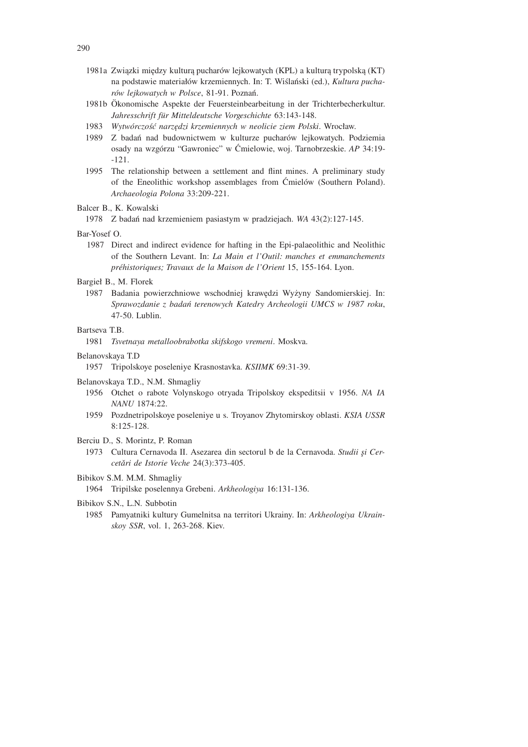- 1981a Związki między kulturą pucharów lejkowatych (KPL) a kulturą trypolską (KT) na podstawie materiałów krzemiennych. In: T. Wiślański (ed.), *Kultura pucharów lejkowatych w Polsce*, 81-91. Poznań.
- 1981b Okonomische Aspekte der Feuersteinbearbeitung in der Trichterbecherkultur. ¨ *Jahresschrift f¨ur Mitteldeutsche Vorgeschichte* 63:143-148.
- 1983 *Wytwórczość narzędzi krzemiennych w neolicie ziem Polski*. Wrocław.
- 1989 Z badań nad budownictwem w kulturze pucharów lejkowatych. Podziemia osady na wzgórzu "Gawroniec" w Ćmielowie, woj. Tarnobrzeskie. *AP* 34:19- -121.
- 1995 The relationship between a settlement and flint mines. A preliminary study of the Eneolithic workshop assemblages from Ćmielów (Southern Poland). *Archaeologia Polona* 33:209-221.

#### Balcer B., K. Kowalski

1978 Z badań nad krzemieniem pasiastym w pradziejach. *WA* 43(2):127-145.

#### Bar-Yosef O.

1987 Direct and indirect evidence for hafting in the Epi-palaeolithic and Neolithic of the Southern Levant. In: *La Main et l'Outil: manches et emmanchements pr´ehistoriques; Travaux de la Maison de l'Orient* 15, 155-164. Lyon.

## Bargieł B., M. Florek

1987 Badania powierzchniowe wschodniej krawędzi Wyżyny Sandomierskiej. In: *Sprawozdanie z badań terenowych Katedry Archeologii UMCS w 1987 roku*, 47-50. Lublin.

## Bartseva T.B.

1981 *Tsvetnaya metalloobrabotka skifskogo vremeni*. Moskva.

#### Belanovskaya T.D

1957 Tripolskoye poseleniye Krasnostavka. *KSIIMK* 69:31-39.

## Belanovskaya T.D., N.M. Shmagliy

- 1956 Otchet o rabote Volynskogo otryada Tripolskoy ekspeditsii v 1956. *NA IA NANU* 1874:22.
- 1959 Pozdnetripolskoye poseleniye u s. Troyanov Zhytomirskoy oblasti. *KSIA USSR* 8:125-128.
- Berciu D., S. Morintz, P. Roman
	- 1973 Cultura Cernavoda II. Asezarea din sectorul b de la Cernavoda. Studii și Cer*cetˇari de Istorie Veche* 24(3):373-405.

## Bibikov S.M. M.M. Shmagliy

1964 Tripilske poselennya Grebeni. *Arkheologiya* 16:131-136.

#### Bibikov S.N., L.N. Subbotin

1985 Pamyatniki kultury Gumelnitsa na territori Ukrainy. In: *Arkheologiya Ukrainskoy SSR*, vol. 1, 263-268. Kiev.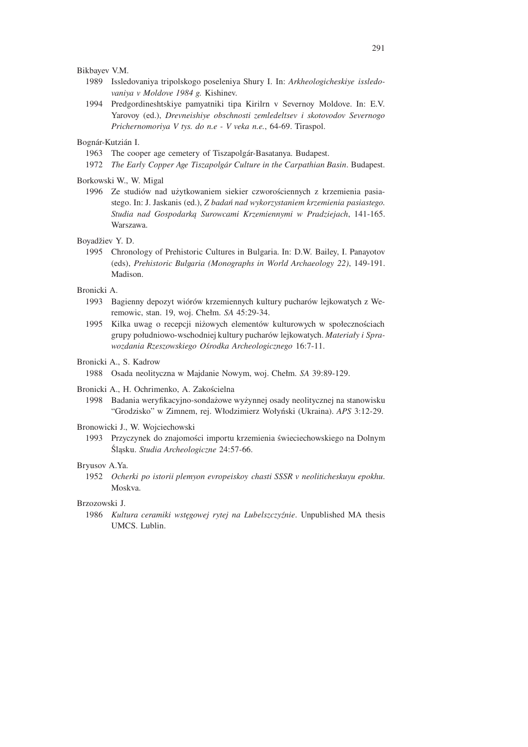Bikbayev V.M.

- 1989 Issledovaniya tripolskogo poseleniya Shury I. In: *Arkheologicheskiye issledovaniya v Moldove 1984 g.* Kishinev.
- 1994 Predgordineshtskiye pamyatniki tipa Kirilrn v Severnoy Moldove. In: E.V. Yarovoy (ed.), *Drevneishiye obschnosti zemledeltsev i skotovodov Severnogo Prichernomoriya V tys. do n.e - V veka n.e.*, 64-69. Tiraspol.

Bognár-Kutzián I.

- 1963 The cooper age cemetery of Tiszapolgár-Basatanya. Budapest.
- 1972 *The Early Copper Age Tiszapolg´ar Culture in the Carpathian Basin*. Budapest.

Borkowski W., W. Migal

1996 Ze studiów nad użytkowaniem siekier czworościennych z krzemienia pasiastego. In: J. Jaskanis (ed.), *Z badań nad wykorzystaniem krzemienia pasiastego. Studia nad Gospodarką Surowcami Krzemiennymi w Pradziejach*, 141-165. Warszawa.

Boyadžiev Y. D.

1995 Chronology of Prehistoric Cultures in Bulgaria. In: D.W. Bailey, I. Panayotov (eds), *Prehistoric Bulgaria (Monographs in World Archaeology 22)*, 149-191. Madison.

## Bronicki A.

- 1993 Bagienny depozyt wiórów krzemiennych kultury pucharów lejkowatych z Weremowic, stan. 19, woj. Chełm. *SA* 45:29-34.
- 1995 Kilka uwag o recepcji niżowych elementów kulturowych w społecznościach grupy południowo-wschodniej kultury pucharów lejkowatych. *Materiały i Sprawozdania Rzeszowskiego Ośrodka Archeologicznego* 16:7-11.

Bronicki A., S. Kadrow

1988 Osada neolityczna w Majdanie Nowym, woj. Chełm. *SA* 39:89-129.

- Bronicki A., H. Ochrimenko, A. Zakościelna
	- 1998 Badania weryfikacyjno-sondażowe wyżynnej osady neolitycznej na stanowisku "Grodzisko" w Zimnem, rej. Włodzimierz Wołyński (Ukraina). *APS* 3:12-29.

Bronowicki J., W. Wojciechowski

1993 Przyczynek do znajomości importu krzemienia świeciechowskiego na Dolnym Śląsku. *Studia Archeologiczne* 24:57-66.

#### Bryusov A.Ya.

1952 *Ocherki po istorii plemyon evropeiskoy chasti SSSR v neoliticheskuyu epokhu*. Moskva.

## Brzozowski J.

1986 *Kultura ceramiki wstęgowej rytej na Lubelszczyźnie*. Unpublished MA thesis UMCS. Lublin.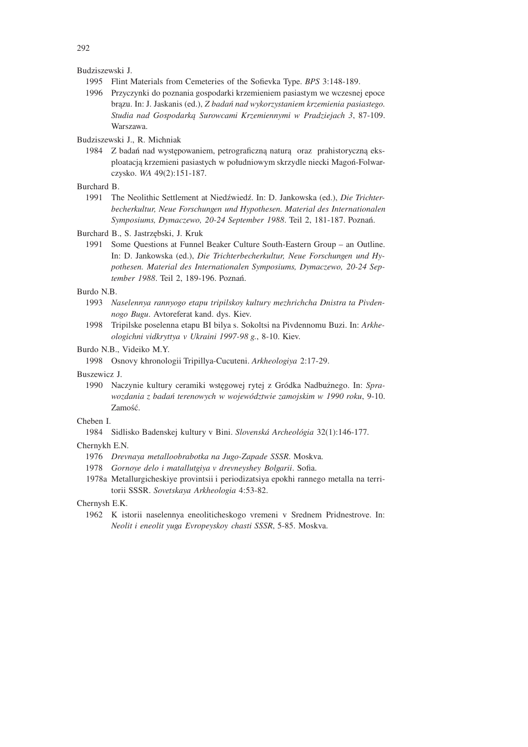Budziszewski J.

- 1995 Flint Materials from Cemeteries of the Sofievka Type. *BPS* 3:148-189.
- 1996 Przyczynki do poznania gospodarki krzemieniem pasiastym we wczesnej epoce brązu. In: J. Jaskanis (ed.), *Z badań nad wykorzystaniem krzemienia pasiastego. Studia nad Gospodarką Surowcami Krzemiennymi w Pradziejach 3*, 87-109. Warszawa.

Budziszewski J., R. Michniak

1984 Z badań nad występowaniem, petrograficzną naturą oraz prahistoryczną eksploatacją krzemieni pasiastych w południowym skrzydle niecki Magoń-Folwarczysko. *WA* 49(2):151-187.

Burchard B.

1991 The Neolithic Settlement at Niedźwiedź. In: D. Jankowska (ed.), *Die Trichterbecherkultur, Neue Forschungen und Hypothesen. Material des Internationalen Symposiums, Dymaczewo, 20-24 September 1988*. Teil 2, 181-187. Poznań.

Burchard B., S. Jastrzębski, J. Kruk

1991 Some Questions at Funnel Beaker Culture South-Eastern Group – an Outline. In: D. Jankowska (ed.), *Die Trichterbecherkultur, Neue Forschungen und Hypothesen. Material des Internationalen Symposiums, Dymaczewo, 20-24 September 1988*. Teil 2, 189-196. Poznań.

Burdo N.B.

- 1993 *Naselennya rannyogo etapu tripilskoy kultury mezhrichcha Dnistra ta Pivdennogo Bugu*. Avtoreferat kand. dys. Kiev.
- 1998 Tripilske poselenna etapu BI bilya s. Sokoltsi na Pivdennomu Buzi. In: *Arkheologichni vidkryttya v Ukraini 1997-98 g.*, 8-10. Kiev.

Burdo N.B., Videiko M.Y.

1998 Osnovy khronologii Tripillya-Cucuteni. *Arkheologiya* 2:17-29.

Buszewicz J.

1990 Naczynie kultury ceramiki wstęgowej rytej z Gródka Nadbużnego. In: *Sprawozdania z badań terenowych w województwie zamojskim w 1990 roku*, 9-10. Zamość.

Cheben I.

1984 Sidlisko Badenskej kultury v Bini. *Slovensk´a Archeol´ogia* 32(1):146-177.

Chernykh E.N.

- 1976 *Drevnaya metalloobrabotka na Jugo-Zapade SSSR*. Moskva.
- 1978 *Gornoye delo i matallutgiya v drevneyshey Bolgarii*. Sofia.
- 1978a Metallurgicheskiye provintsii i periodizatsiya epokhi rannego metalla na territorii SSSR. *Sovetskaya Arkheologia* 4:53-82.

Chernysh E.K.

1962 K istorii naselennya eneoliticheskogo vremeni v Srednem Pridnestrove. In: *Neolit i eneolit yuga Evropeyskoy chasti SSSR*, 5-85. Moskva.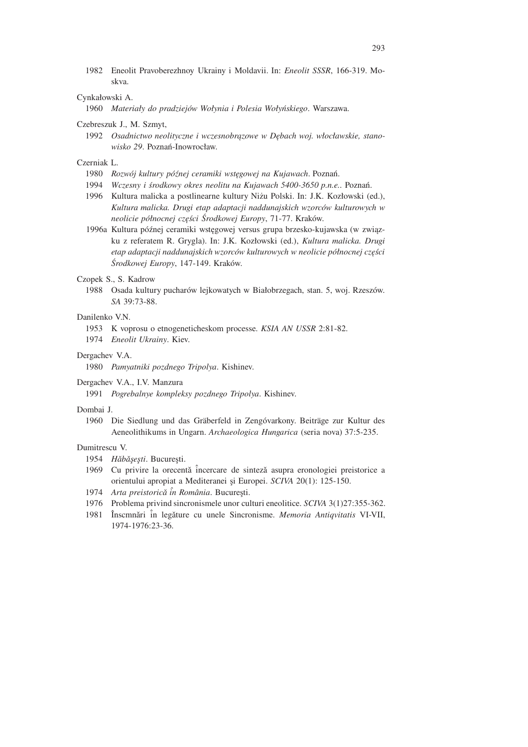1982 Eneolit Pravoberezhnoy Ukrainy i Moldavii. In: *Eneolit SSSR*, 166-319. Moskva.

## Cynkałowski A.

1960 *Materiały do pradziejów Wołynia i Polesia Wołyńskiego*. Warszawa.

## Czebreszuk J., M. Szmyt,

1992 *Osadnictwo neolityczne i wczesnobrązowe w Dębach woj. włocławskie, stanowisko 29*. Poznań-Inowrocław.

## Czerniak L.

- 1980 *Rozwój kultury późnej ceramiki wstęgowej na Kujawach*. Poznań.
- 1994 *Wczesny i środkowy okres neolitu na Kujawach 5400-3650 p.n.e.*. Poznań.
- 1996 Kultura malicka a postlinearne kultury Niżu Polski. In: J.K. Kozłowski (ed.), *Kultura malicka. Drugi etap adaptacji naddunajskich wzorców kulturowych w neolicie północnej części Środkowej Europy*, 71-77. Kraków.
- 1996a Kultura późnej ceramiki wstęgowej versus grupa brzesko-kujawska (w związku z referatem R. Grygla). In: J.K. Kozłowski (ed.), *Kultura malicka. Drugi etap adaptacji naddunajskich wzorców kulturowych w neolicie północnej części Środkowej Europy*, 147-149. Kraków.

## Czopek S., S. Kadrow

1988 Osada kultury pucharów lejkowatych w Białobrzegach, stan. 5, woj. Rzeszów. *SA* 39:73-88.

## Danilenko VN

- 1953 K voprosu o etnogeneticheskom processe. *KSIA AN USSR* 2:81-82.
- 1974 *Eneolit Ukrainy*. Kiev.

## Dergachev V.A.

1980 *Pamyatniki pozdnego Tripolya*. Kishinev.

## Dergachev V.A., I.V. Manzura

1991 *Pogrebalnye kompleksy pozdnego Tripolya*. Kishinev.

## Dombai J.

1960 Die Siedlung und das Gräberfeld in Zengóvarkony. Beiträge zur Kultur des Aeneolithikums in Ungarn. *Archaeologica Hungarica* (seria nova) 37:5-235.

## Dumitrescu V.

- 1954 *Hǎbǎsesti*. Bucuresti.
- 1969 Cu privire la orecentă încercare de sinteză asupra eronologiei preistorice a orientului apropiat a Mediteranei ¸si Europei. *SCIVA* 20(1): 125-150.
- 1974 *Arta preistorică în România*. București.
- 1976 Problema privind sincronismele unor culturi eneolitice. *SCIVA* 3(1)27:355-362.
- 1981 ˆInscmnˇari ˆin legˇature cu unele Sincronisme. *Memoria Antiqvitatis* VI-VII, 1974-1976:23-36.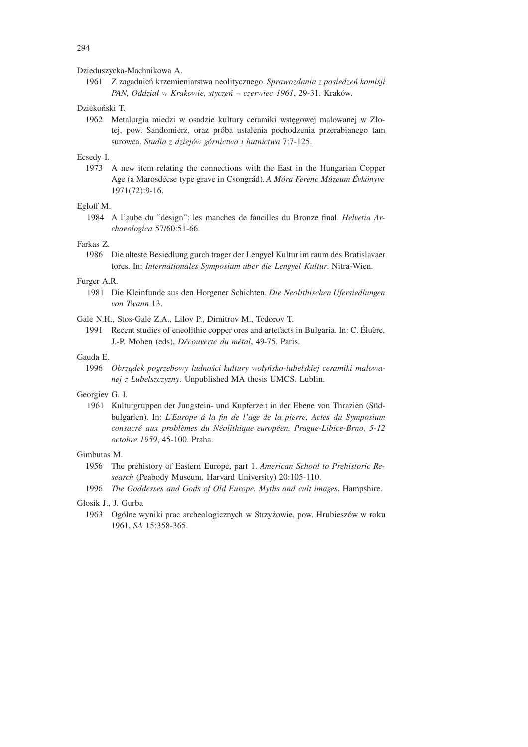Dzieduszycka-Machnikowa A.

1961 Z zagadnień krzemieniarstwa neolitycznego. *Sprawozdania z posiedzeń komisji PAN, Oddział w Krakowie, styczeń – czerwiec 1961*, 29-31. Kraków.

## Dziekoński T.

1962 Metalurgia miedzi w osadzie kultury ceramiki wstęgowej malowanej w Złotej, pow. Sandomierz, oraz próba ustalenia pochodzenia przerabianego tam surowca. *Studia z dziejów górnictwa i hutnictwa* 7:7-125.

## Ecsedy I.

1973 A new item relating the connections with the East in the Hungarian Copper Age (a Marosd´ecse type grave in Csongr´ad). *A M´ora Ferenc M´uzeum Evk¨onyve ´* 1971(72):9-16.

## Egloff M.

1984 A l'aube du "design": les manches de faucilles du Bronze final. *Helvetia Archaeologica* 57/60:51-66.

## Farkas Z.

1986 Die alteste Besiedlung gurch trager der Lengyel Kultur im raum des Bratislavaer tores. In: *Internationales Symposium über die Lengyel Kultur*. Nitra-Wien.

## Furger A.R.

1981 Die Kleinfunde aus den Horgener Schichten. *Die Neolithischen Ufersiedlungen von Twann* 13.

Gale N.H., Stos-Gale Z.A., Lilov P., Dimitrov M., Todorov T.

1991 Recent studies of eneolithic copper ores and artefacts in Bulgaria. In: C. Éluère, J.-P. Mohen (eds), *D´ecouverte du m´etal*, 49-75. Paris.

## Gauda E.

1996 *Obrządek pogrzebowy ludności kultury wołyńsko-lubelskiej ceramiki malowanej z Lubelszczyzny*. Unpublished MA thesis UMCS. Lublin.

## Georgiev G. I.

1961 Kulturgruppen der Jungstein- und Kupferzeit in der Ebene von Thrazien (Südbulgarien). In: *L'Europe ´a la fin de l'age de la pierre. Actes du Symposium consacr´e aux probl`emes du N´eolithique europ´een. Prague-Libice-Brno, 5-12 octobre 1959*, 45-100. Praha.

## Gimbutas M.

- 1956 The prehistory of Eastern Europe, part 1. *American School to Prehistoric Research* (Peabody Museum, Harvard University) 20:105-110.
- 1996 *The Goddesses and Gods of Old Europe. Myths and cult images*. Hampshire.

## Głosik J., J. Gurba

1963 Ogólne wyniki prac archeologicznych w Strzyżowie, pow. Hrubieszów w roku 1961, *SA* 15:358-365.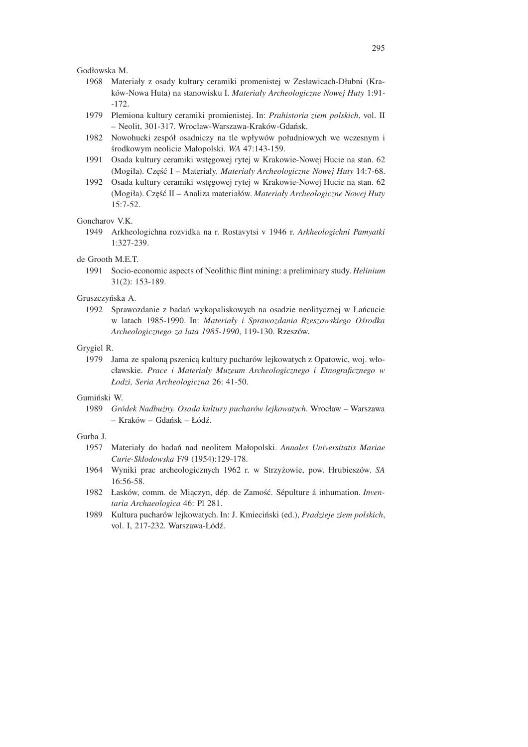Godłowska M.

- 1968 Materiały z osady kultury ceramiki promenistej w Zesławicach-Dłubni (Kraków-Nowa Huta) na stanowisku I. *Materiały Archeologiczne Nowej Huty* 1:91- -172.
- 1979 Plemiona kultury ceramiki promienistej. In: *Prahistoria ziem polskich*, vol. II – Neolit, 301-317. Wrocław-Warszawa-Kraków-Gdańsk.
- 1982 Nowohucki zespół osadniczy na tle wpływów południowych we wczesnym i środkowym neolicie Małopolski. *WA* 47:143-159.
- 1991 Osada kultury ceramiki wstęgowej rytej w Krakowie-Nowej Hucie na stan. 62 (Mogiła). Część I – Materiały. *Materiały Archeologiczne Nowej Huty* 14:7-68.
- 1992 Osada kultury ceramiki wstęgowej rytej w Krakowie-Nowej Hucie na stan. 62 (Mogiła). Część II – Analiza materiałów. *Materiały Archeologiczne Nowej Huty*  $15:7-52.$

#### Goncharov VK

1949 Arkheologichna rozvidka na r. Rostavytsi v 1946 r. *Arkheologichni Pamyatki* 1:327-239.

## de Grooth M.E.T.

1991 Socio-economic aspects of Neolithic flint mining: a preliminary study. *Helinium* 31(2): 153-189.

## Gruszczyńska A.

1992 Sprawozdanie z badań wykopaliskowych na osadzie neolitycznej w Łańcucie w latach 1985-1990. In: *Materiały i Sprawozdania Rzeszowskiego Ośrodka Archeologicznego za lata 1985-1990*, 119-130. Rzeszów.

## Grygiel R.

1979 Jama ze spaloną pszenicą kultury pucharów lejkowatych z Opatowic, woj. włocławskie. *Prace i Materiały Muzeum Archeologicznego i Etnograficznego w Łodzi, Seria Archeologiczna* 26: 41-50.

#### Gumiński W.

1989 *Gródek Nadbużny. Osada kultury pucharów lejkowatych*. Wrocław – Warszawa – Kraków – Gdańsk – Łódź.

#### Gurba J.

- 1957 Materiały do badań nad neolitem Małopolski. *Annales Universitatis Mariae Curie-Skłodowska* F/9 (1954):129-178.
- 1964 Wyniki prac archeologicznych 1962 r. w Strzyżowie, pow. Hrubieszów. *SA* 16:56-58.
- 1982 Łasków, comm. de Miączyn, dép. de Zamość. Sépulture á inhumation. *Inventaria Archaeologica* 46: Pl 281.
- 1989 Kultura pucharów lejkowatych. In: J. Kmieciński (ed.), *Pradzieje ziem polskich*, vol. I, 217-232. Warszawa-Łódź.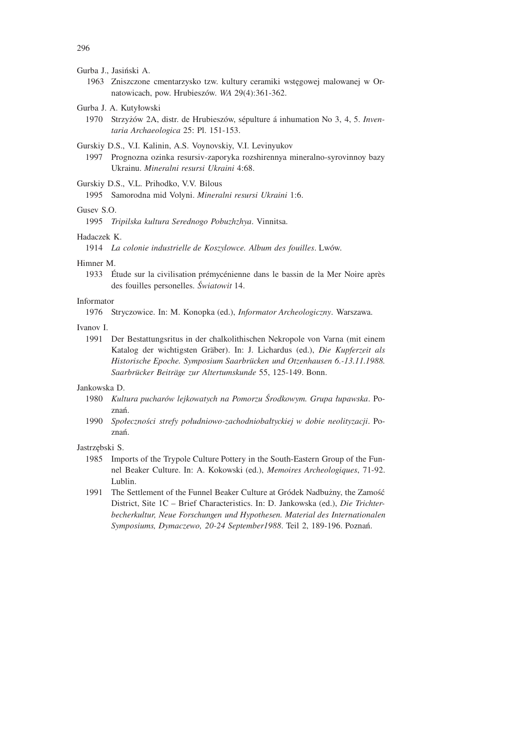#### Gurba J., Jasiński A.

- 1963 Zniszczone cmentarzysko tzw. kultury ceramiki wstęgowej malowanej w Ornatowicach, pow. Hrubieszów. *WA* 29(4):361-362.
- Gurba J. A. Kutyłowski
	- 1970 Strzyżów 2A, distr. de Hrubieszów, sépulture á inhumation No 3, 4, 5. *Inventaria Archaeologica* 25: Pl. 151-153.

Gurskiy D.S., V.I. Kalinin, A.S. Voynovskiy, V.I. Levinyukov

1997 Prognozna ozinka resursiv-zaporyka rozshirennya mineralno-syrovinnoy bazy Ukrainu. *Mineralni resursi Ukraini* 4:68.

Gurskiy D.S., V.L. Prihodko, V.V. Bilous

1995 Samorodna mid Volyni. *Mineralni resursi Ukraini* 1:6.

#### Gusev  $S$  O.

1995 *Tripilska kultura Serednogo Pobuzhzhya*. Vinnitsa.

## Hadaczek K.

1914 *La colonie industrielle de Koszylowce. Album des fouilles*. Lwów.

#### Himner M.

1933 Étude sur la civilisation prémycénienne dans le bassin de la Mer Noire après des fouilles personelles. *Światowit* 14.

## Informator

1976 Stryczowice. In: M. Konopka (ed.), *Informator Archeologiczny*. Warszawa.

#### Ivanov I.

1991 Der Bestattungsritus in der chalkolithischen Nekropole von Varna (mit einem Katalog der wichtigsten Gräber). In: J. Lichardus (ed.), *Die Kupferzeit als Historische Epoche. Symposium Saarbr¨ucken und Otzenhausen 6.-13.11.1988. Saarbr¨ucker Beitr¨age zur Altertumskunde* 55, 125-149. Bonn.

#### Jankowska D.

- 1980 *Kultura pucharów lejkowatych na Pomorzu Środkowym. Grupa łupawska*. Poznań.
- 1990 *Społeczności strefy południowo-zachodniobałtyckiej w dobie neolityzacji*. Poznań.

#### Jastrzębski S.

- 1985 Imports of the Trypole Culture Pottery in the South-Eastern Group of the Funnel Beaker Culture. In: A. Kokowski (ed.), *Memoires Archeologiques*, 71-92. Lublin.
- 1991 The Settlement of the Funnel Beaker Culture at Gródek Nadbużny, the Zamość District, Site 1C – Brief Characteristics. In: D. Jankowska (ed.), *Die Trichterbecherkultur, Neue Forschungen und Hypothesen. Material des Internationalen Symposiums, Dymaczewo, 20-24 September1988*. Teil 2, 189-196. Poznań.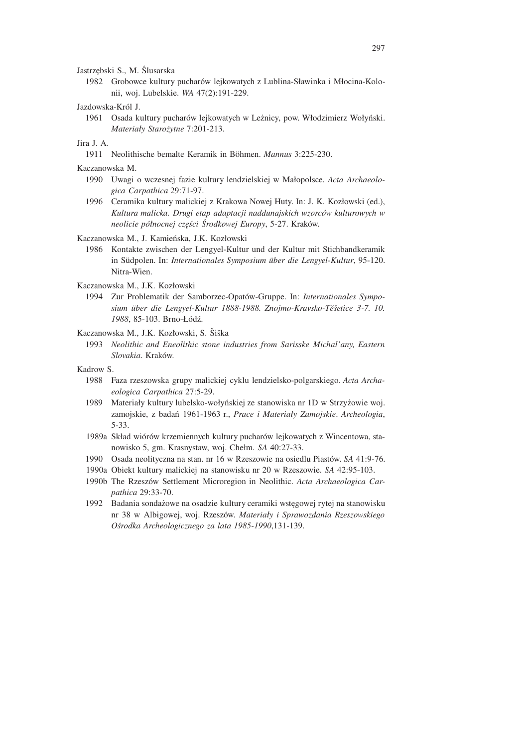Jastrzębski S., M. Ślusarska

1982 Grobowce kultury pucharów lejkowatych z Lublina-Sławinka i Młocina-Kolonii, woj. Lubelskie. *WA* 47(2):191-229.

#### Jazdowska-Król J.

1961 Osada kultury pucharów lejkowatych w Leżnicy, pow. Włodzimierz Wołyński. *Materiały Starożytne* 7:201-213.

## Jira J. A.

1911 Neolithische bemalte Keramik in B¨ohmen. *Mannus* 3:225-230.

Kaczanowska M.

- 1990 Uwagi o wczesnej fazie kultury lendzielskiej w Małopolsce. *Acta Archaeologica Carpathica* 29:71-97.
- 1996 Ceramika kultury malickiej z Krakowa Nowej Huty. In: J. K. Kozłowski (ed.), *Kultura malicka. Drugi etap adaptacji naddunajskich wzorców kulturowych w neolicie północnej części Środkowej Europy*, 5-27. Kraków.

Kaczanowska M., J. Kamieńska, J.K. Kozłowski

- 1986 Kontakte zwischen der Lengyel-Kultur und der Kultur mit Stichbandkeramik in Südpolen. In: *Internationales Symposium über die Lengyel-Kultur*, 95-120. Nitra-Wien.
- Kaczanowska M., J.K. Kozłowski
	- 1994 Zur Problematik der Samborzec-Opatów-Gruppe. In: *Internationales Sympo*sium über die Lengyel-Kultur 1888-1988. Znojmo-Kravsko-Těšetice 3-7. 10. *1988*, 85-103. Brno-Łódź.

Kaczanowska M., J.K. Kozłowski, S. Šiška

1993 *Neolithic and Eneolithic stone industries from Sarisske Michal'any, Eastern Slovakia*. Kraków.

#### Kadrow S.

- 1988 Faza rzeszowska grupy malickiej cyklu lendzielsko-polgarskiego. *Acta Archaeologica Carpathica* 27:5-29.
- 1989 Materiały kultury lubelsko-wołyńskiej ze stanowiska nr 1D w Strzyżowie woj. zamojskie, z badań 1961-1963 r., *Prace i Materiały Zamojskie*. *Archeologia*, 5-33.
- 1989a Skład wiórów krzemiennych kultury pucharów lejkowatych z Wincentowa, stanowisko 5, gm. Krasnystaw, woj. Chełm. *SA* 40:27-33.
- 1990 Osada neolityczna na stan. nr 16 w Rzeszowie na osiedlu Piastów. *SA* 41:9-76.
- 1990a Obiekt kultury malickiej na stanowisku nr 20 w Rzeszowie. *SA* 42:95-103.
- 1990b The Rzeszów Settlement Microregion in Neolithic. *Acta Archaeologica Carpathica* 29:33-70.
- 1992 Badania sondażowe na osadzie kultury ceramiki wstęgowej rytej na stanowisku nr 38 w Albigowej, woj. Rzeszów. *Materiały i Sprawozdania Rzeszowskiego Ośrodka Archeologicznego za lata 1985-1990*,131-139.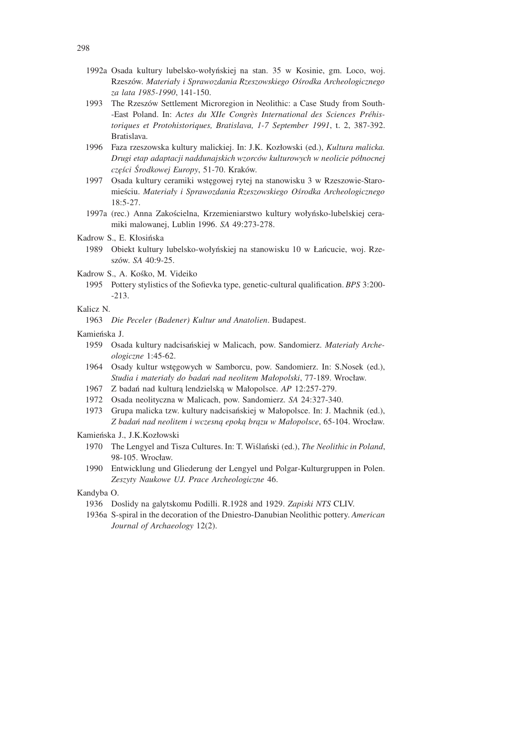- 1992a Osada kultury lubelsko-wołyńskiej na stan. 35 w Kosinie, gm. Loco, woj. Rzeszów. *Materiały i Sprawozdania Rzeszowskiego Ośrodka Archeologicznego za lata 1985-1990*, 141-150.
- 1993 The Rzeszów Settlement Microregion in Neolithic: a Case Study from South- -East Poland. In: *Actes du XIIe Congrès International des Sciences Préhistoriques et Protohistoriques, Bratislava, 1-7 September 1991*, t. 2, 387-392. Bratislava.
- 1996 Faza rzeszowska kultury malickiej. In: J.K. Kozłowski (ed.), *Kultura malicka. Drugi etap adaptacji naddunajskich wzorców kulturowych w neolicie północnej części Środkowej Europy*, 51-70. Kraków.
- 1997 Osada kultury ceramiki wstęgowej rytej na stanowisku 3 w Rzeszowie-Staromieściu. *Materiały i Sprawozdania Rzeszowskiego Ośrodka Archeologicznego* 18:5-27.
- 1997a (rec.) Anna Zakościelna, Krzemieniarstwo kultury wołyńsko-lubelskiej ceramiki malowanej, Lublin 1996. *SA* 49:273-278.
- Kadrow S., E. Kłosińska
	- 1989 Obiekt kultury lubelsko-wołyńskiej na stanowisku 10 w Łańcucie, woj. Rzeszów. *SA* 40:9-25.
- Kadrow S., A. Kośko, M. Videiko
	- 1995 Pottery stylistics of the Sofievka type, genetic-cultural qualification. *BPS* 3:200- -213.

#### Kalicz N.

1963 *Die Peceler (Badener) Kultur und Anatolien*. Budapest.

## Kamieńska J.

- 1959 Osada kultury nadcisańskiej w Malicach, pow. Sandomierz. *Materiały Archeologiczne* 1:45-62.
- 1964 Osady kultur wstęgowych w Samborcu, pow. Sandomierz. In: S.Nosek (ed.), *Studia i materiały do badań nad neolitem Małopolski*, 77-189. Wrocław.
- 1967 Z badań nad kulturą lendzielską w Małopolsce. *AP* 12:257-279.
- 1972 Osada neolityczna w Malicach, pow. Sandomierz. *SA* 24:327-340.
- 1973 Grupa malicka tzw. kultury nadcisańskiej w Małopolsce. In: J. Machnik (ed.), *Z badań nad neolitem i wczesną epoką brązu w Małopolsce*, 65-104. Wrocław.

#### Kamieńska J., J.K.Kozłowski

- 1970 The Lengyel and Tisza Cultures. In: T. Wiślański (ed.), *The Neolithic in Poland*, 98-105. Wrocław.
- 1990 Entwicklung und Gliederung der Lengyel und Polgar-Kulturgruppen in Polen. *Zeszyty Naukowe UJ. Prace Archeologiczne* 46.

#### Kandyba O.

- 1936 Doslidy na galytskomu Podilli. R.1928 and 1929. *Zapiski NTS* CLIV.
- 1936a S-spiral in the decoration of the Dniestro-Danubian Neolithic pottery. *American Journal of Archaeology* 12(2).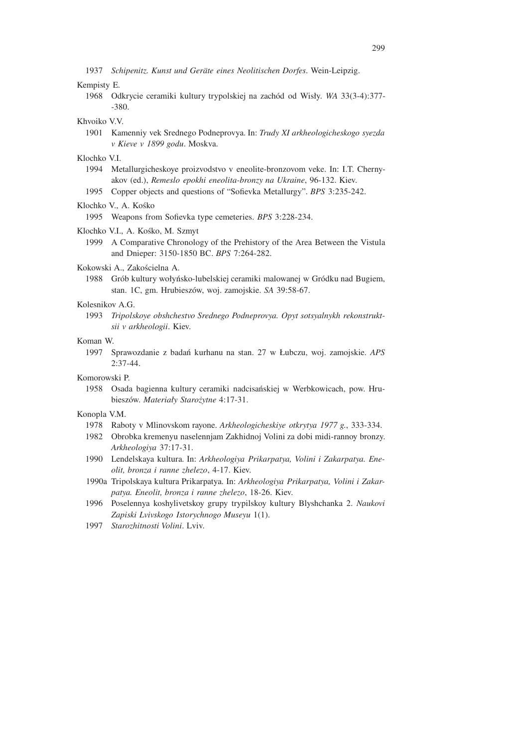#### Kempisty E.

1968 Odkrycie ceramiki kultury trypolskiej na zachód od Wisły. *WA* 33(3-4):377- -380.

## Khvoiko V.V.

- 1901 Kamenniy vek Srednego Podneprovya. In: *Trudy XI arkheologicheskogo syezda v Kieve v 1899 godu*. Moskva.
- Klochko V.I.
	- 1994 Metallurgicheskoye proizvodstvo v eneolite-bronzovom veke. In: I.T. Chernyakov (ed.), *Remeslo epokhi eneolita-bronzy na Ukraine*, 96-132. Kiev.
	- 1995 Copper objects and questions of "Sofievka Metallurgy". *BPS* 3:235-242.

#### Klochko V., A. Kośko

1995 Weapons from Sofievka type cemeteries. *BPS* 3:228-234.

#### Klochko V.I., A. Kośko, M. Szmyt

1999 A Comparative Chronology of the Prehistory of the Area Between the Vistula and Dnieper: 3150-1850 BC. *BPS* 7:264-282.

## Kokowski A., Zakościelna A.

1988 Grób kultury wołyńsko-lubelskiej ceramiki malowanej w Gródku nad Bugiem, stan. 1C, gm. Hrubieszów, woj. zamojskie. *SA* 39:58-67.

#### Kolesnikov A.G.

1993 *Tripolskoye obshchestvo Srednego Podneprovya. Opyt sotsyalnykh rekonstruktsii v arkheologii*. Kiev.

#### Koman W.

1997 Sprawozdanie z badań kurhanu na stan. 27 w Łubczu, woj. zamojskie. *APS*  $2:37-44.$ 

#### Komorowski P.

1958 Osada bagienna kultury ceramiki nadcisańskiej w Werbkowicach, pow. Hrubieszów. *Materiały Starożytne* 4:17-31.

#### Konopla V.M.

- 1978 Raboty v Mlinovskom rayone. *Arkheologicheskiye otkrytya 1977 g.*, 333-334.
- 1982 Obrobka kremenyu naselennjam Zakhidnoj Volini za dobi midi-rannoy bronzy. *Arkheologiya* 37:17-31.
- 1990 Lendelskaya kultura. In: *Arkheologiya Prikarpatya, Volini i Zakarpatya. Eneolit, bronza i ranne zhelezo*, 4-17. Kiev.
- 1990a Tripolskaya kultura Prikarpatya. In: *Arkheologiya Prikarpatya, Volini i Zakarpatya. Eneolit, bronza i ranne zhelezo*, 18-26. Kiev.
- 1996 Poselennya koshylivetskoy grupy trypilskoy kultury Blyshchanka 2. *Naukovi Zapiski Lvivskogo Istorychnogo Museyu* 1(1).
- 1997 *Starozhitnosti Volini*. Lviv.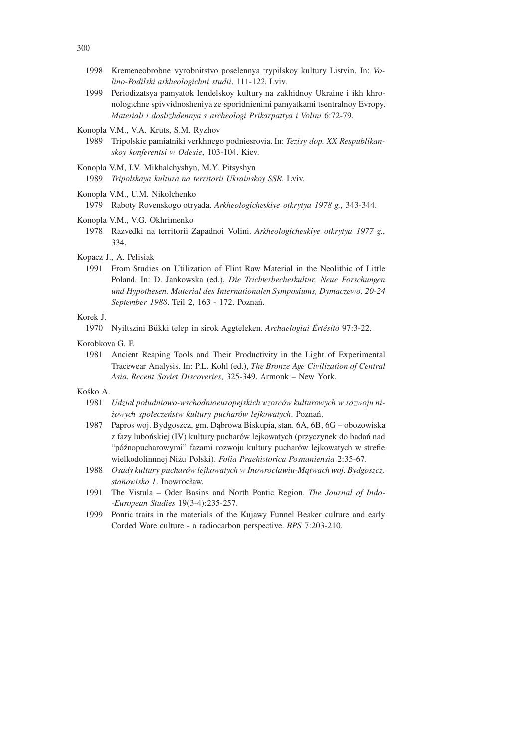- 1998 Kremeneobrobne vyrobnitstvo poselennya trypilskoy kultury Listvin. In: *Volino-Podilski arkheologichni studii*, 111-122. Lviv.
- 1999 Periodizatsya pamyatok lendelskoy kultury na zakhidnoy Ukraine i ikh khronologichne spivvidnosheniya ze sporidnienimi pamyatkami tsentralnoy Evropy. *Materiali i doslizhdennya s archeologi Prikarpattya i Volini* 6:72-79.

Konopla V.M., V.A. Kruts, S.M. Ryzhov

- 1989 Tripolskie pamiatniki verkhnego podniesrovia. In: *Tezisy dop. XX Respublikanskoy konferentsi w Odesie*, 103-104. Kiev.
- Konopla V.M, I.V. Mikhalchyshyn, M.Y. Pitsyshyn

1989 *Tripolskaya kultura na territorii Ukrainskoy SSR*. Lviv.

Konopla V.M., U.M. Nikolchenko

1979 Raboty Rovenskogo otryada. *Arkheologicheskiye otkrytya 1978 g.*, 343-344.

- Konopla V.M., V.G. Okhrimenko
	- 1978 Razvedki na territorii Zapadnoi Volini. *Arkheologicheskiye otkrytya 1977 g.*, 334.

Kopacz J., A. Pelisiak

1991 From Studies on Utilization of Flint Raw Material in the Neolithic of Little Poland. In: D. Jankowska (ed.), *Die Trichterbecherkultur, Neue Forschungen und Hypothesen. Material des Internationalen Symposiums, Dymaczewo, 20-24 September 1988*. Teil 2, 163 - 172. Poznań.

#### Korek J.

1970 Nyiltszini Bükki telep in sirok Aggteleken. *Archaelogiai Értésitö* 97:3-22.

Korobkova G. F.

1981 Ancient Reaping Tools and Their Productivity in the Light of Experimental Tracewear Analysis. In: P.L. Kohl (ed.), *The Bronze Age Civilization of Central Asia. Recent Soviet Discoveries*, 325-349. Armonk – New York.

#### Kośko A.

- 1981 *Udział południowo-wschodnioeuropejskich wzorców kulturowych w rozwoju niżowych społeczeństw kultury pucharów lejkowatych*. Poznań.
- 1987 Papros woj. Bydgoszcz, gm. Dąbrowa Biskupia, stan. 6A, 6B, 6G obozowiska z fazy lubońskiej (IV) kultury pucharów lejkowatych (przyczynek do badań nad "późnopucharowymi" fazami rozwoju kultury pucharów lejkowatych w strefie wielkodolinnnej Niżu Polski). *Folia Praehistorica Posnaniensia* 2:35-67.
- 1988 *Osady kultury pucharów lejkowatych w Inowrocławiu-Mątwach woj. Bydgoszcz, stanowisko 1*. Inowrocław.
- 1991 The Vistula Oder Basins and North Pontic Region. *The Journal of Indo- -European Studies* 19(3-4):235-257.
- 1999 Pontic traits in the materials of the Kujawy Funnel Beaker culture and early Corded Ware culture - a radiocarbon perspective. *BPS* 7:203-210.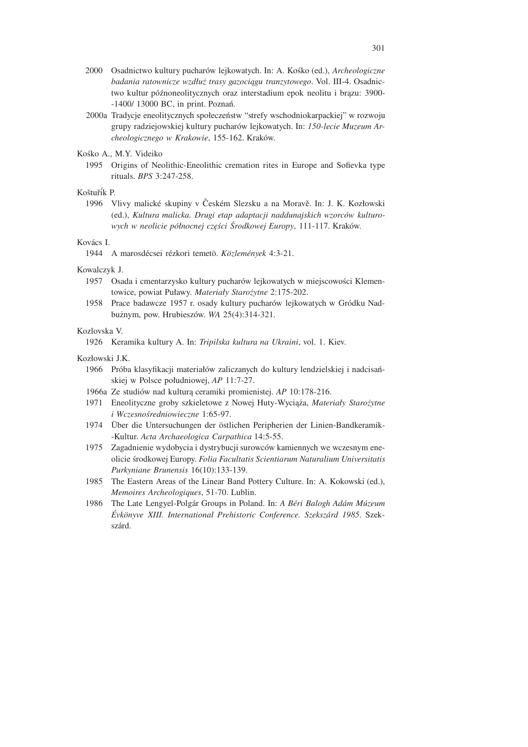- 2000 Osadnictwo kultury pucharów lejkowatych. In: A. Kośko (ed.), *Archeologiczne badania ratownicze wzdłuż trasy gazociągu tranzytowego*. Vol. III-4. Osadnictwo kultur późnoneolitycznych oraz interstadium epok neolitu i brązu: 3900- -1400/ 13000 BC, in print. Poznań.
- 2000a Tradycje eneolitycznych społeczeństw "strefy wschodniokarpackiej" w rozwoju grupy radziejowskiej kultury pucharów lejkowatych. In: *150-lecie Muzeum Archeologicznego w Krakowie*, 155-162. Kraków.
- Kośko A., M.Y. Videiko
	- 1995 Origins of Neolithic-Eneolithic cremation rites in Europe and Sofievka type rituals. *BPS* 3:247-258.

## Koštuřík P.

1996 Vlivy malické skupiny v Českém Slezsku a na Moravě. In: J. K. Kozłowski (ed.), *Kultura malicka. Drugi etap adaptacji naddunajskich wzorców kulturowych w neolicie północnej części Środkowej Europy*, 111-117. Kraków.

#### Kovács I.

1944 A marosdécsei rézkori temetö. *Közlemények* 4:3-21.

## Kowalczyk J.

- 1957 Osada i cmentarzysko kultury pucharów lejkowatych w miejscowości Klementowice, powiat Puławy. *Materiały Starożytne* 2:175-202.
- 1958 Prace badawcze 1957 r. osady kultury pucharów lejkowatych w Gródku Nadbużnym, pow. Hrubieszów. *WA* 25(4):314-321.

#### Kozlovska V.

1926 Keramika kultury A. In: *Tripilska kultura na Ukraini*, vol. 1. Kiev.

#### Kozłowski J.K.

- 1966 Próba klasyfikacji materiałów zaliczanych do kultury lendzielskiej i nadcisańskiej w Polsce południowej, *AP* 11:7-27.
- 1966a Ze studiów nad kulturą ceramiki promienistej. *AP* 10:178-216.
- 1971 Eneolityczne groby szkieletowe z Nowej Huty-Wyciąża, *Materiały Starożytne i Wczesnośredniowieczne* 1:65-97.
- 1974 Über die Untersuchungen der östlichen Peripherien der Linien-Bandkeramik--Kultur. *Acta Archaeologica Carpathica* 14:5-55.
- 1975 Zagadnienie wydobycia i dystrybucji surowców kamiennych we wczesnym eneolicie środkowej Europy. *Folia Facultatis Scientiarum Naturalium Universitatis Purkyniane Brunensis* 16(10):133-139.
- 1985 The Eastern Areas of the Linear Band Pottery Culture. In: A. Kokowski (ed.), *Memoires Archeologiques*, 51-70. Lublin.
- 1986 The Late Lengyel-Polg´ar Groups in Poland. In: *A B´eri Balogh Ad´am M´uzeum Evk¨onyve XIII. International Prehistoric Conference. Szeksz´ard 1985 ´* . Szekszárd.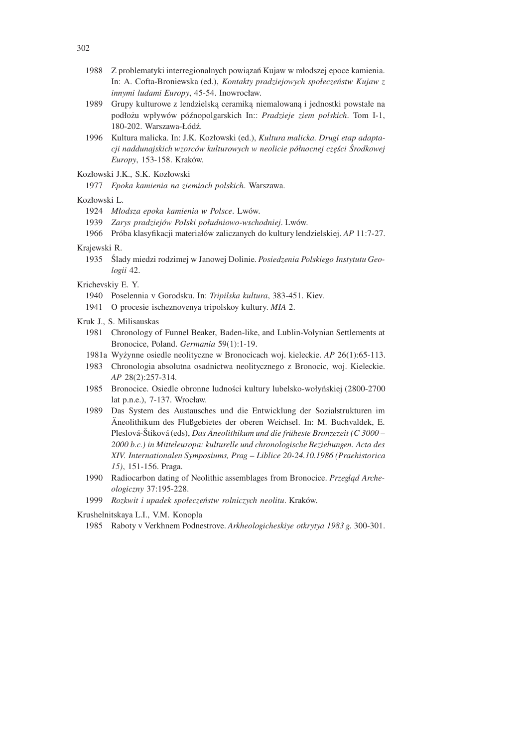- 1988 Z problematyki interregionalnych powiązań Kujaw w młodszej epoce kamienia. In: A. Cofta-Broniewska (ed.), *Kontakty pradziejowych społeczeństw Kujaw z innymi ludami Europy*, 45-54. Inowrocław.
- 1989 Grupy kulturowe z lendzielską ceramiką niemalowaną i jednostki powstałe na podłożu wpływów późnopolgarskich In:: *Pradzieje ziem polskich*. Tom I-1, 180-202. Warszawa-Łódź.
- 1996 Kultura malicka. In: J.K. Kozłowski (ed.), *Kultura malicka. Drugi etap adaptacji naddunajskich wzorców kulturowych w neolicie północnej części Środkowej Europy*, 153-158. Kraków.
- Kozłowski J.K., S.K. Kozłowski
	- 1977 *Epoka kamienia na ziemiach polskich*. Warszawa.

## Kozłowski L.

- 1924 *Młodsza epoka kamienia w Polsce*. Lwów.
- 1939 *Zarys pradziejów PoIski południowo-wschodniej*. Lwów.
- 1966 Próba klasyfikacji materiałów zaliczanych do kultury lendzielskiej. *AP* 11:7-27.

#### Krajewski R.

1935 Ślady miedzi rodzimej w Janowej Dolinie. *Posiedzenia Polskiego Instytutu Geologii* 42.

## Krichevskiy E. Y.

- 1940 Poselennia v Gorodsku. In: *Tripilska kultura*, 383-451. Kiev.
- 1941 O procesie ischeznovenya tripolskoy kultury. *MIA* 2.

#### Kruk J., S. Milisauskas

- 1981 Chronology of Funnel Beaker, Baden-like, and Lublin-Volynian Settlements at Bronocice, Poland. *Germania* 59(1):1-19.
- 1981a Wyżynne osiedle neolityczne w Bronocicach woj. kieleckie. *AP* 26(1):65-113.
- 1983 Chronologia absolutna osadnictwa neolitycznego z Bronocic, woj. Kieleckie. *AP* 28(2):257-314.
- 1985 Bronocice. Osiedle obronne ludności kultury lubelsko-wołyńskiej (2800-2700 lat p.n.e.), 7-137. Wrocław.
- 1989 Das System des Austausches und die Entwicklung der Sozialstrukturen im Aneolithikum des Flußgebietes der oberen Weichsel. In: M. Buchvaldek, E. ¨ Pleslová-Štiková (eds), *Das Äneolithikum und die früheste Bronzezeit (C 3000 – 2000 b.c.) in Mitteleuropa: kulturelle und chronologische Beziehungen. Acta des XIV. Internationalen Symposiums, Prag – Liblice 20-24.10.1986 (Praehistorica 15)*, 151-156. Praga.
- 1990 Radiocarbon dating of Neolithic assemblages from Bronocice. *Przegląd Archeologiczny* 37:195-228.
- 1999 *Rozkwit i upadek społeczeństw rolniczych neolitu*. Kraków.

Krushelnitskaya L.I., V.M. Konopla

1985 Raboty v Verkhnem Podnestrove. *Arkheologicheskiye otkrytya 1983 g.* 300-301.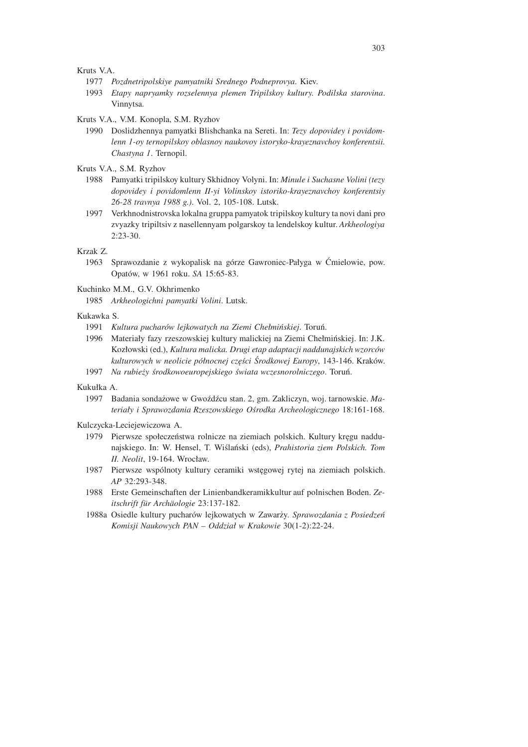Kruts V.A.

- 1977 *Pozdnetripolskiye pamyatniki Srednego Podneprovya*. Kiev.
- 1993 *Etapy napryamky rozselennya plemen Tripilskoy kultury. Podilska starovina*. Vinnytsa.

Kruts V.A., V.M. Konopla, S.M. Ryzhov

1990 Doslidzhennya pamyatki Blishchanka na Sereti. In: *Tezy dopovidey i povidomlenn 1-oy ternopilskoy oblasnoy naukovoy istoryko-krayeznavchoy konferentsii. Chastyna 1*. Ternopil.

Kruts V.A., S.M. Ryzhov

- 1988 Pamyatki tripilskoy kultury Skhidnoy Volyni. In: *Minule i Suchasne Volini (tezy dopovidey i povidomlenn II-yi Volinskoy istoriko-krayeznavchoy konferentsiy 26-28 travnya 1988 g.)*. Vol. 2, 105-108. Lutsk.
- 1997 Verkhnodnistrovska lokalna gruppa pamyatok tripilskoy kultury ta novi dani pro zvyazky tripiltsiv z nasellennyam polgarskoy ta lendelskoy kultur. *Arkheologiya*  $2:23-30.$

Krzak Z.

1963 Sprawozdanie z wykopalisk na górze Gawroniec-Pałyga w Ćmielowie, pow. Opatów, w 1961 roku. *SA* 15:65-83.

Kuchinko M.M., G.V. Okhrimenko

1985 *Arkheologichni pamyatki Volini*. Lutsk.

#### Kukawka S.

- 1991 *Kultura pucharów lejkowatych na Ziemi Chełmińskiej*. Toruń.
- 1996 Materiały fazy rzeszowskiej kultury malickiej na Ziemi Chełmińskiej. In: J.K. Kozłowski (ed.), *Kultura malicka. Drugi etap adaptacji naddunajskich wzorców kulturowych w neolicie północnej części Środkowej Europy*, 143-146. Kraków.
- 1997 *Na rubieży środkowoeuropejskiego świata wczesnorolniczego*. Toruń.

## Kukułka A.

1997 Badania sondażowe w Gwoźdźcu stan. 2, gm. Zakliczyn, woj. tarnowskie. *Materiały i Sprawozdania Rzeszowskiego Ośrodka Archeologicznego* 18:161-168.

Kulczycka-Leciejewiczowa A.

- 1979 Pierwsze społeczeństwa rolnicze na ziemiach polskich. Kultury kręgu naddunajskiego. In: W. Hensel, T. Wiślański (eds), *Prahistoria ziem Polskich. Tom II. Neolit*, 19-164. Wrocław.
- 1987 Pierwsze wspólnoty kultury ceramiki wstęgowej rytej na ziemiach polskich. *AP* 32:293-348.
- 1988 Erste Gemeinschaften der Linienbandkeramikkultur auf polnischen Boden. *Zeitschrift f¨ur Arch¨aologie* 23:137-182.
- 1988a Osiedle kultury pucharów lejkowatych w Zawarży. *Sprawozdania z Posiedzeń Komisji Naukowych PAN – Oddział w Krakowie* 30(1-2):22-24.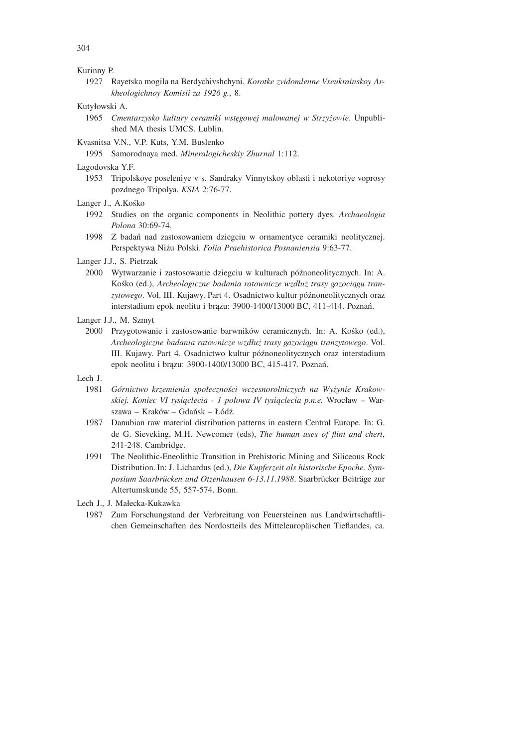## Kurinny P.

1927 Rayetska mogila na Berdychivshchyni. *Korotke zvidomlenne Vseukrainskoy Arkheologichnoy Komisii za 1926 g.*, 8.

## Kutyłowski A.

- 1965 *Cmentarzysko kultury ceramiki wstęgowej malowanej w Strzyżowie*. Unpublished MA thesis UMCS. Lublin.
- Kvasnitsa V.N., V.P. Kuts, Y.M. Buslenko

1995 Samorodnaya med. *Mineralogicheskiy Zhurnal* 1:112.

## Lagodovska Y.F.

1953 Tripolskoye poseleniye v s. Sandraky Vinnytskoy oblasti i nekotoriye voprosy pozdnego Tripolya. *KSIA* 2:76-77.

## Langer J., A.Kośko

- 1992 Studies on the organic components in Neolithic pottery dyes. *Archaeologia Polona* 30:69-74.
- 1998 Z badań nad zastosowaniem dziegciu w ornamentyce ceramiki neolitycznej. Perspektywa Niżu Polski. *Folia Praehistorica Posnaniensia* 9:63-77.
- Langer J.J., S. Pietrzak
	- 2000 Wytwarzanie i zastosowanie dziegciu w kulturach późnoneolitycznych. In: A. Kośko (ed.), *Archeologiczne badania ratownicze wzdłuż trasy gazociągu tranzytowego*. Vol. III. Kujawy. Part 4. Osadnictwo kultur późnoneolitycznych oraz interstadium epok neolitu i brązu: 3900-1400/13000 BC, 411-414. Poznań.

## Langer J.J., M. Szmyt

2000 Przygotowanie i zastosowanie barwników ceramicznych. In: A. Kośko (ed.), *Archeologiczne badania ratownicze wzdłuż trasy gazociągu tranzytowego*. Vol. III. Kujawy. Part 4. Osadnictwo kultur późnoneolitycznych oraz interstadium epok neolitu i brązu: 3900-1400/13000 BC, 415-417. Poznań.

## Lech J.

- 1981 *Górnictwo krzemienia społeczności wczesnorolniczych na Wyżynie Krakowskiej. Koniec VI tysiąclecia - 1 połowa IV tysiąclecia p.n.e.* Wrocław – Warszawa – Kraków – Gdańsk – Łódź.
- 1987 Danubian raw material distribution patterns in eastern Central Europe. In: G. de G. Sieveking, M.H. Newcomer (eds), *The human uses of flint and chert*, 241-248. Cambridge.
- 1991 The Neolithic-Eneolithic Transition in Prehistoric Mining and Siliceous Rock Distribution. In: J. Lichardus (ed.), *Die Kupferzeit als historische Epoche. Sym*posium Saarbrücken und Otzenhausen 6-13.11.1988. Saarbrücker Beiträge zur Altertumskunde 55, 557-574. Bonn.
- Lech J., J. Małecka-Kukawka
	- 1987 Zum Forschungstand der Verbreitung von Feuersteinen aus Landwirtschaftlichen Gemeinschaften des Nordostteils des Mitteleuropäischen Tieflandes, ca.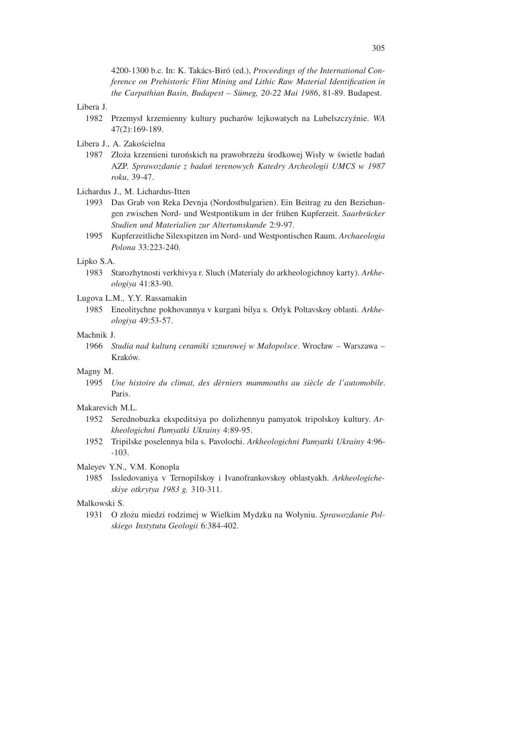4200-1300 b.c. In: K. Tak´acs-Bir´o (ed.), *Proceedings of the International Conference on Prehistoric Flint Mining and Lithic Raw Material Identification in the Carpathian Basin, Budapest – S¨umeg, 20-22 Mai 1986*, 81-89. Budapest.

## Libera J.

- 1982 Przemysł krzemienny kultury pucharów lejkowatych na Lubelszczyźnie. *WA* 47(2):169-189.
- Libera J., A. Zakościelna
	- 1987 Złoża krzemieni turońskich na prawobrzeżu środkowej Wisły w świetle badań AZP. *Sprawozdanie z badań terenowych Katedry Archeologii UMCS w 1987 roku*, 39-47.
- Lichardus J., M. Lichardus-Itten
	- 1993 Das Grab von Reka Devnja (Nordostbulgarien). Ein Beitrag zu den Beziehungen zwischen Nord- und Westpontikum in der frühen Kupferzeit. *Saarbrücker Studien und Materialien zur Altertumskunde* 2:9-97.
	- 1995 Kupferzeitliche Silexspitzen im Nord- und Westpontischen Raum. *Archaeologia Polona* 33:223-240.

#### Lipko S.A.

1983 Starozhytnosti verkhivya r. Sluch (Materialy do arkheologichnoy karty). *Arkheologiya* 41:83-90.

#### Lugova L.M., Y.Y. Rassamakin

1985 Eneolitychne pokhovannya v kurgani bilya s. Orlyk Poltavskoy oblasti. *Arkheologiya* 49:53-57.

## Machnik J.

1966 *Studia nad kulturą ceramiki sznurowej w Małopolsce*. Wrocław – Warszawa – Kraków.

#### Magny M.

1995 *Une histoire du climat, des d`erniers mammouths au si`ecle de l'automobile*. Paris.

#### Makarevich M.L.

- 1952 Serednobuzka ekspeditsiya po dolizhennyu pamyatok tripolskoy kultury. *Arkheologichni Pamyatki Ukrainy* 4:89-95.
- 1952 Tripilske poselennya bila s. Pavolochi. *Arkheologichni Pamyatki Ukrainy* 4:96- -103.
- Maleyev Y.N., V.M. Konopla
	- 1985 Issledovaniya v Ternopilskoy i Ivanofrankovskoy oblastyakh. *Arkheologicheskiye otkrytya 1983 g.* 310-311.

## Malkowski S.

1931 O złożu miedzi rodzimej w Wielkim Mydzku na Wołyniu. *Sprawozdanie Polskiego Instytutu Geologii* 6:384-402.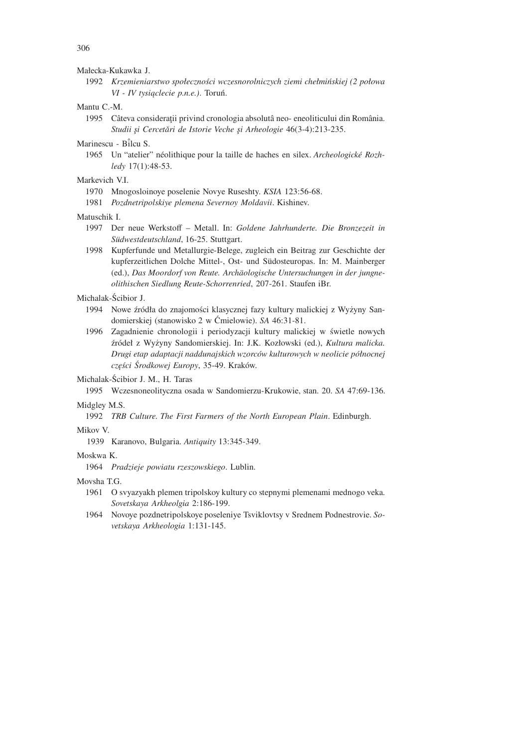#### Małecka-Kukawka J.

1992 *Krzemieniarstwo społeczności wczesnorolniczych ziemi chełmińskiej (2 połowa VI - IV tysiąclecie p.n.e.)*. Toruń.

## Mantu C -M

1995 Câteva considerații privind cronologia absolutâ neo- eneoliticului din România. Studii și Cercetări de Istorie Veche și Arheologie 46(3-4):213-235.

## Marinescu - Bˆilcu S.

1965 Un "atelier" néolithique pour la taille de haches en silex. *Archeologické Rozhledy* 17(1):48-53.

## Markevich VI

- 1970 Mnogosloinoye poselenie Novye Ruseshty. *KSIA* 123:56-68.
- 1981 *Pozdnetripolskiye plemena Severnoy Moldavii*. Kishinev.

#### Matuschik I.

- 1997 Der neue Werkstoff Metall. In: *Goldene Jahrhunderte. Die Bronzezeit in S¨udwestdeutschland*, 16-25. Stuttgart.
- 1998 Kupferfunde und Metallurgie-Belege, zugleich ein Beitrag zur Geschichte der kupferzeitlichen Dolche Mittel-, Ost- und Südosteuropas. In: M. Mainberger (ed.), *Das Moordorf von Reute. Arch¨aologische Untersuchungen in der jungneolithischen Siedlung Reute-Schorrenried*, 207-261. Staufen iBr.

## Michalak-Ścibior J.

- 1994 Nowe źródła do znajomości klasycznej fazy kultury malickiej z Wyżyny Sandomierskiej (stanowisko 2 w Ćmielowie). *SA* 46:31-81.
- 1996 Zagadnienie chronologii i periodyzacji kultury malickiej w świetle nowych źródeł z Wyżyny Sandomierskiej. In: J.K. Kozłowski (ed.), *Kultura malicka. Drugi etap adaptacji naddunajskich wzorców kulturowych w neolicie północnej części Środkowej Europy*, 35-49. Kraków.

## Michalak-Ścibior J. M., H. Taras

1995 Wczesnoneolityczna osada w Sandomierzu-Krukowie, stan. 20. *SA* 47:69-136.

## Midgley M.S.

1992 *TRB Culture. The First Farmers of the North European Plain*. Edinburgh.

#### Mikov V.

1939 Karanovo, Bulgaria. *Antiquity* 13:345-349.

#### Moskwa K.

1964 *Pradzieje powiatu rzeszowskiego*. Lublin.

#### Movsha T.G.

- 1961 O svyazyakh plemen tripolskoy kultury co stepnymi plemenami mednogo veka. *Sovetskaya Arkheolgia* 2:186-199.
- 1964 Novoye pozdnetripolskoye poseleniye Tsviklovtsy v Srednem Podnestrovie. *Sovetskaya Arkheologia* 1:131-145.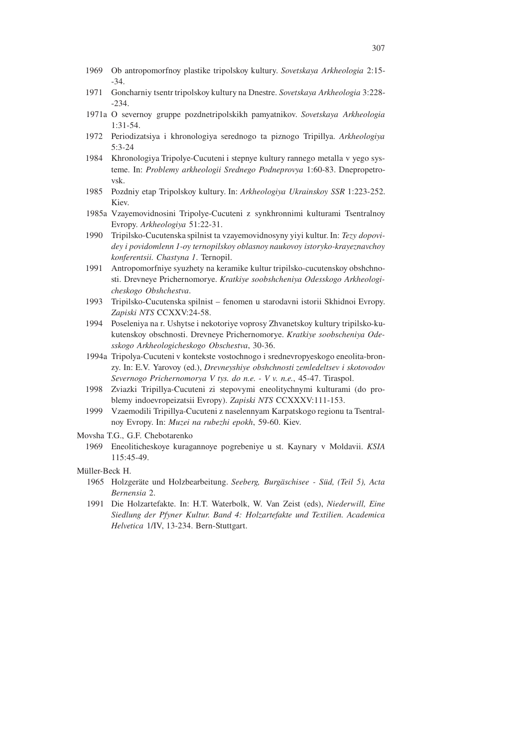- 1969 Ob antropomorfnoy plastike tripolskoy kultury. *Sovetskaya Arkheologia* 2:15- -34.
- 1971 Goncharniy tsentr tripolskoy kultury na Dnestre. *Sovetskaya Arkheologia* 3:228- -234.
- 1971a O severnoy gruppe pozdnetripolskikh pamyatnikov. *Sovetskaya Arkheologia* 1:31-54.
- 1972 Periodizatsiya i khronologiya serednogo ta piznogo Tripillya. *Arkheologiya* 5:3-24
- 1984 Khronologiya Tripolye-Cucuteni i stepnye kultury rannego metalla v yego systeme. In: *Problemy arkheologii Srednego Podneprovya* 1:60-83. Dnepropetrovsk.
- 1985 Pozdniy etap Tripolskoy kultury. In: *Arkheologiya Ukrainskoy SSR* 1:223-252. Kiev.
- 1985a Vzayemovidnosini Tripolye-Cucuteni z synkhronnimi kulturami Tsentralnoy Evropy. *Arkheologiya* 51:22-31.
- 1990 Tripilsko-Cucutenska spilnist ta vzayemovidnosyny yiyi kultur. In: *Tezy dopovidey i povidomlenn 1-oy ternopilskoy oblasnoy naukovoy istoryko-krayeznavchoy konferentsii. Chastyna 1*. Ternopil.
- 1991 Antropomorfniye syuzhety na keramike kultur tripilsko-cucutenskoy obshchnosti. Drevneye Prichernomorye. *Kratkiye soobshcheniya Odesskogo Arkheologicheskogo Obshchestva*.
- 1993 Tripilsko-Cucutenska spilnist fenomen u starodavni istorii Skhidnoi Evropy. *Zapiski NTS* CCXXV:24-58.
- 1994 Poseleniya na r. Ushytse i nekotoriye voprosy Zhvanetskoy kultury tripilsko-kukutenskoy obschnosti. Drevneye Prichernomorye. *Kratkiye soobscheniya Odesskogo Arkheologicheskogo Obschestva*, 30-36.
- 1994a Tripolya-Cucuteni v kontekste vostochnogo i srednevropyeskogo eneolita-bronzy. In: E.V. Yarovoy (ed.), *Drevneyshiye obshchnosti zemledeltsev i skotovodov Severnogo Prichernomorya V tys. do n.e. - V v. n.e.*, 45-47. Tiraspol.
- 1998 Zviazki Tripillya-Cucuteni zi stepovymi eneolitychnymi kulturami (do problemy indoevropeizatsii Evropy). *Zapiski NTS* CCXXXV:111-153.
- 1999 Vzaemodili Tripillya-Cucuteni z naselennyam Karpatskogo regionu ta Tsentralnoy Evropy. In: *Muzei na rubezhi epokh*, 59-60. Kiev.

Movsha T.G., G.F. Chebotarenko

1969 Eneoliticheskoye kuragannoye pogrebeniye u st. Kaynary v Moldavii. *KSIA* 115:45-49.

Müller-Beck H.

- 1965 Holzgeräte und Holzbearbeitung. Seeberg, Burgäschisee Süd, (Teil 5), Acta *Bernensia* 2.
- 1991 Die Holzartefakte. In: H.T. Waterbolk, W. Van Zeist (eds), *Niederwill, Eine Siedlung der Pfyner Kultur. Band 4: Holzartefakte und Textilien. Academica Helvetica* 1/IV, 13-234. Bern-Stuttgart.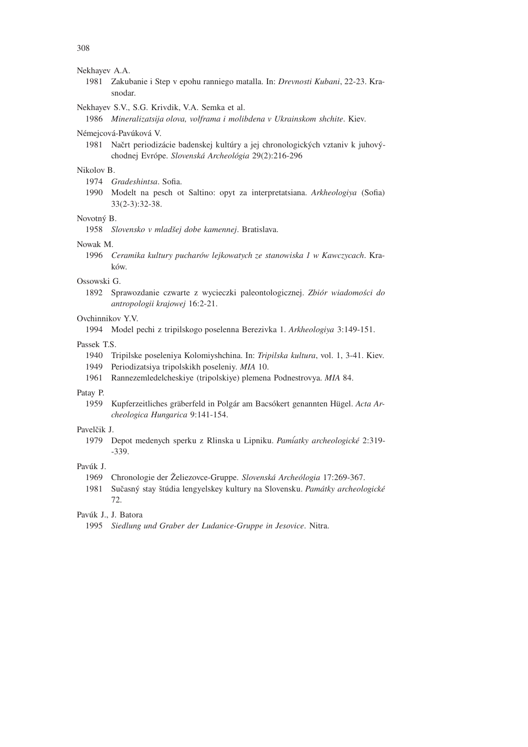#### Nekhayev A.A.

1981 Zakubanie i Step v epohu ranniego matalla. In: *Drevnosti Kubani*, 22-23. Krasnodar.

## Nekhayev S.V., S.G. Krivdik, V.A. Semka et al.

1986 *Mineralizatsija olova, volframa i molibdena v Ukrainskom shchite*. Kiev.

#### Némejcová-Pavúková V.

1981 Načrt periodizácie badenskej kultúry a jej chronologických vztaniv k juhovýchodnej Evrópe. *Slovenská Archeológia* 29(2):216-296

## Nikolov B.

1974 *Gradeshintsa*. Sofia.

1990 Modelt na pesch ot Saltino: opyt za interpretatsiana. *Arkheologiya* (Sofia) 33(2-3):32-38.

## Novotný B.

1958 *Slovensko v mladˇsej dobe kamennej*. Bratislava.

## Nowak M.

1996 *Ceramika kultury pucharów lejkowatych ze stanowiska 1 w Kawczycach*. Kraków.

## Ossowski G.

1892 Sprawozdanie czwarte z wycieczki paleontologicznej. *Zbiór wiadomości do antropologii krajowej* 16:2-21.

## Ovchinnikov Y.V.

1994 Model pechi z tripilskogo poselenna Berezivka 1. *Arkheologiya* 3:149-151.

## Passek T.S.

- 1940 Tripilske poseleniya Kolomiyshchina. In: *Tripilska kultura*, vol. 1, 3-41. Kiev.
- 1949 Periodizatsiya tripolskikh poseleniy. *MIA* 10.
- 1961 Rannezemledelcheskiye (tripolskiye) plemena Podnestrovya. *MIA* 84.

## Patay P.

1959 Kupferzeitliches gräberfeld in Polgár am Bacsókert genannten Hügel. Acta Ar*cheologica Hungarica* 9:141-154.

## Pavelčik J.

1979 Depot medenych sperku z Rlinska u Lipniku. *Pam´iatky archeologick´e* 2:319- -339.

## Pavúk J.

- 1969 Chronologie der Želiezovce-Gruppe. Slovenská Archeólogia 17:269-367.
- 1981 Sučasný stay štúdia lengyelskey kultury na Slovensku. Památky archeologické 72.

## Pavúk J., J. Batora

1995 *Siedlung und Graber der Ludanice-Gruppe in Jesovice*. Nitra.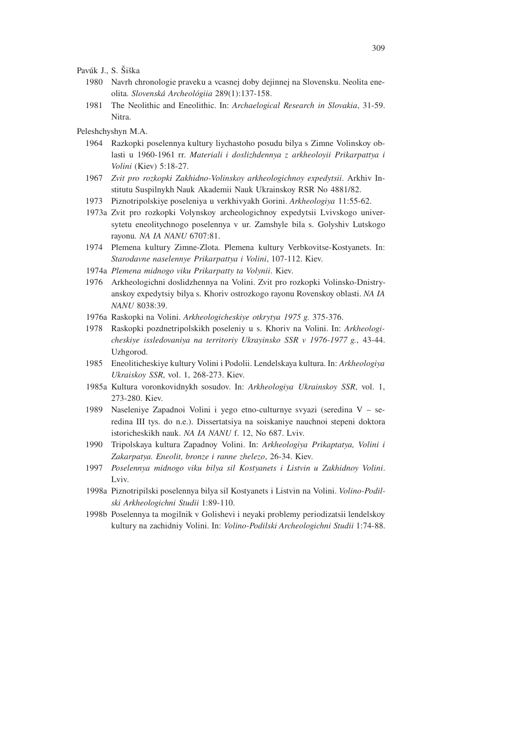## Pavúk J., S. Šiška

- 1980 Navrh chronologie praveku a vcasnej doby dejinnej na Slovensku. Neolita eneolita. *Slovensk´a Archeol´ogiia* 289(1):137-158.
- 1981 The Neolithic and Eneolithic. In: *Archaelogical Research in Slovakia*, 31-59. Nitra.

## Peleshchyshyn M.A.

- 1964 Razkopki poselennya kultury liychastoho posudu bilya s Zimne Volinskoy oblasti u 1960-1961 rr. *Materiali i doslizhdennya z arkheoloyii Prikarpattya i Volini* (Kiev) 5:18-27.
- 1967 *Zvit pro rozkopki Zakhidno-Volinskoy arkheologichnoy expedytsii*. Arkhiv Institutu Suspilnykh Nauk Akademii Nauk Ukrainskoy RSR No 4881/82.
- 1973 Piznotripolskiye poseleniya u verkhivyakh Gorini. *Arkheologiya* 11:55-62.
- 1973a Zvit pro rozkopki Volynskoy archeologichnoy expedytsii Lvivskogo universytetu eneolitychnogo poselennya v ur. Zamshyle bila s. Golyshiv Lutskogo rayonu. *NA IA NANU* 6707:81.
- 1974 Plemena kultury Zimne-Zlota. Plemena kultury Verbkovitse-Kostyanets. In: *Starodavne naselennye Prikarpattya i Volini*, 107-112. Kiev.
- 1974a *Plemena midnogo viku Prikarpatty ta Volynii*. Kiev.
- 1976 Arkheologichni doslidzhennya na Volini. Zvit pro rozkopki Volinsko-Dnistryanskoy expedytsiy bilya s. Khoriv ostrozkogo rayonu Rovenskoy oblasti. *NA IA NANU* 8038:39.
- 1976a Raskopki na Volini. *Arkheologicheskiye otkrytya 1975 g.* 375-376.
- 1978 Raskopki pozdnetripolskikh poseleniy u s. Khoriv na Volini. In: *Arkheologicheskiye issledovaniya na territoriy Ukrayinsko SSR v 1976-1977 g.*, 43-44. Uzhgorod.
- 1985 Eneoliticheskiye kultury Volini i Podolii. Lendelskaya kultura. In: *Arkheologiya Ukraiskoy SSR*, vol. 1, 268-273. Kiev.
- 1985a Kultura voronkovidnykh sosudov. In: *Arkheologiya Ukrainskoy SSR*, vol. 1, 273-280. Kiev.
- 1989 Naseleniye Zapadnoi Volini i yego etno-culturnye svyazi (seredina V seredina III tys. do n.e.). Dissertatsiya na soiskaniye nauchnoi stepeni doktora istoricheskikh nauk. *NA IA NANU* f. 12, No 687. Lviv.
- 1990 Tripolskaya kultura Zapadnoy Volini. In: *Arkheologiya Prikaptatya, Volini i Zakarpatya. Eneolit, bronze i ranne zhelezo*, 26-34. Kiev.
- 1997 *Poselennya midnogo viku bilya sil Kostyanets i Listvin u Zakhidnoy Volini*. Lviv.
- 1998a Piznotripilski poselennya bilya sil Kostyanets i Listvin na Volini. *Volino-Podilski Arkheologichni Studii* 1:89-110.
- 1998b Poselennya ta mogilnik v Golishevi i neyaki problemy periodizatsii lendelskoy kultury na zachidniy Volini. In: *Volino-Podilski Archeologichni Studii* 1:74-88.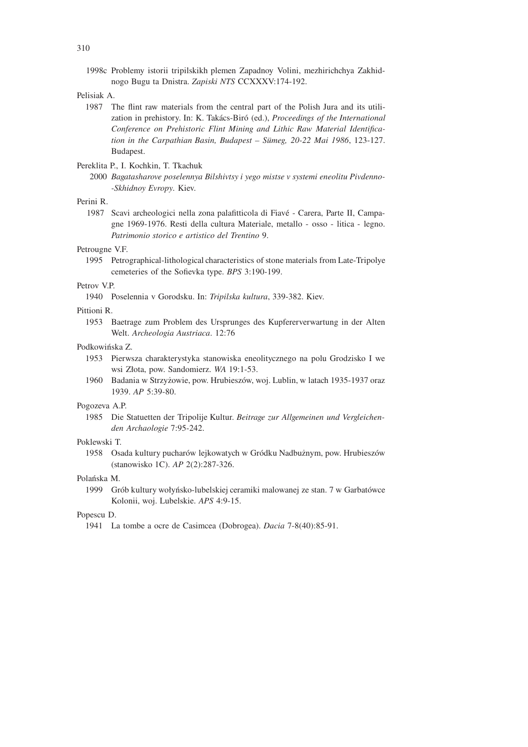1998c Problemy istorii tripilskikh plemen Zapadnoy Volini, mezhirichchya Zakhidnogo Bugu ta Dnistra. *Zapiski NTS* CCXXXV:174-192.

## Pelisiak A.

1987 The flint raw materials from the central part of the Polish Jura and its utilization in prehistory. In: K. Tak´acs-Bir´o (ed.), *Proceedings of the International Conference on Prehistoric Flint Mining and Lithic Raw Material Identification in the Carpathian Basin, Budapest – S¨umeg, 20-22 Mai 1986*, 123-127. Budapest.

## Pereklita P., I. Kochkin, T. Tkachuk

2000 *Bagatasharove poselennya Bilshivtsy i yego mistse v systemi eneolitu Pivdenno- -Skhidnoy Evropy*. Kiev.

## Perini R.

1987 Scavi archeologici nella zona palafitticola di Fiavé - Carera, Parte II, Campagne 1969-1976. Resti della cultura Materiale, metallo - osso - litica - legno. *Patrimonio storico e artistico del Trentino* 9.

## Petrougne V.F.

1995 Petrographical-lithological characteristics of stone materials from Late-Tripolye cemeteries of the Sofievka type. *BPS* 3:190-199.

## Petrov V.P.

1940 Poselennia v Gorodsku. In: *Tripilska kultura*, 339-382. Kiev.

## Pittioni R.

1953 Baetrage zum Problem des Ursprunges des Kupfererverwartung in der Alten Welt. *Archeologia Austriaca*. 12:76

## Podkowińska Z.

- 1953 Pierwsza charakterystyka stanowiska eneolitycznego na polu Grodzisko I we wsi Złota, pow. Sandomierz. *WA* 19:1-53.
- 1960 Badania w Strzyżowie, pow. Hrubieszów, woj. Lublin, w latach 1935-1937 oraz 1939. *AP* 5:39-80.

## Pogozeva A.P.

1985 Die Statuetten der Tripolije Kultur. *Beitrage zur Allgemeinen und Vergleichenden Archaologie* 7:95-242.

## Poklewski T.

1958 Osada kultury pucharów lejkowatych w Gródku Nadbużnym, pow. Hrubieszów (stanowisko 1C). *AP* 2(2):287-326.

## Polańska M.

1999 Grób kultury wołyńsko-lubelskiej ceramiki malowanej ze stan. 7 w Garbatówce Kolonii, woj. Lubelskie. *APS* 4:9-15.

## Popescu D.

1941 La tombe a ocre de Casimcea (Dobrogea). *Dacia* 7-8(40):85-91.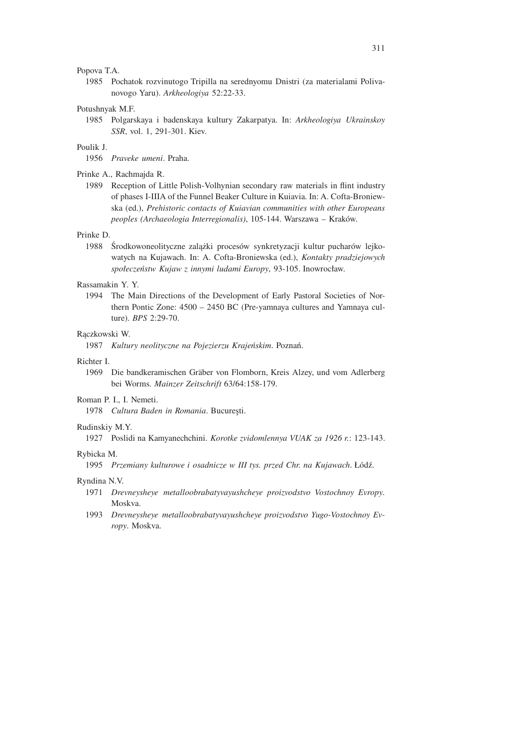#### Popova T.A.

1985 Pochatok rozvinutogo Tripilla na serednyomu Dnistri (za materialami Polivanovogo Yaru). *Arkheologiya* 52:22-33.

#### Potushnyak M.F.

1985 Polgarskaya i badenskaya kultury Zakarpatya. In: *Arkheologiya Ukrainskoy SSR*, vol. 1, 291-301. Kiev.

#### Poulik J.

1956 *Praveke umeni*. Praha.

#### Prinke A., Rachmajda R.

1989 Reception of Little Polish-Volhynian secondary raw materials in flint industry of phases I-IIIA of the Funnel Beaker Culture in Kuiavia. In: A. Cofta-Broniewska (ed.), *Prehistoric contacts of Kuiavian communities with other Europeans peoples (Archaeologia Interregionalis)*, 105-144. Warszawa – Kraków.

#### Prinke D.

1988 Środkowoneolityczne zalążki procesów synkretyzacji kultur pucharów lejkowatych na Kujawach. In: A. Cofta-Broniewska (ed.), *Kontakty pradziejowych społeczeństw Kujaw z innymi ludami Europy*, 93-105. Inowrocław.

#### Rassamakin Y. Y.

1994 The Main Directions of the Development of Early Pastoral Societies of Northern Pontic Zone: 4500 – 2450 BC (Pre-yamnaya cultures and Yamnaya culture). *BPS* 2:29-70.

#### Rączkowski W.

1987 *Kultury neolityczne na Pojezierzu Krajeńskim*. Poznań.

## Richter I.

1969 Die bandkeramischen Gräber von Flomborn, Kreis Alzey, und vom Adlerberg bei Worms. *Mainzer Zeitschrift* 63/64:158-179.

#### Roman P. I., I. Nemeti.

1978 *Cultura Baden in Romania*. București.

#### Rudinskiy M.Y.

1927 Poslidi na Kamyanechchini. *Korotke zvidomlennya VUAK za 1926 r.*: 123-143.

#### Rybicka M.

1995 *Przemiany kulturowe i osadnicze w III tys. przed Chr. na Kujawach*. Łódź.

#### Ryndina N.V.

- 1971 *Drevneysheye metalloobrabatyvayushcheye proizvodstvo Vostochnoy Evropy*. Moskva.
- 1993 *Drevneysheye metalloobrabatyvayushcheye proizvodstvo Yugo-Vostochnoy Evropy*. Moskva.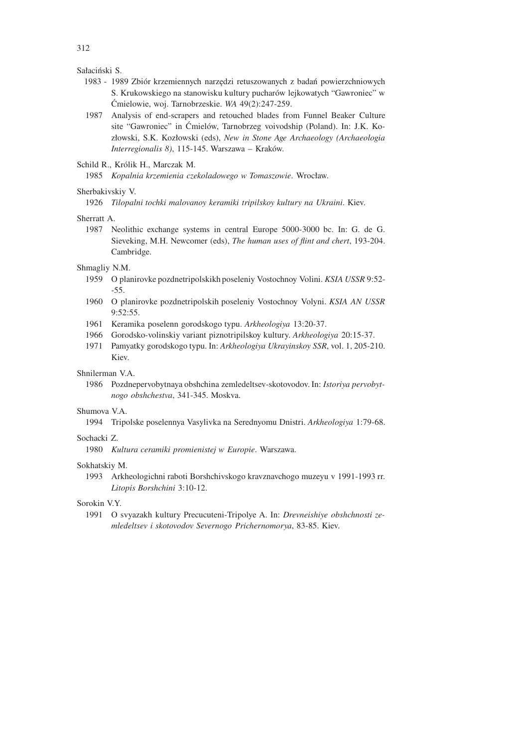Sałaciński S.

- 1983 1989 Zbiór krzemiennych narzędzi retuszowanych z badań powierzchniowych S. Krukowskiego na stanowisku kultury pucharów lejkowatych "Gawroniec" w Ćmielowie, woj. Tarnobrzeskie. *WA* 49(2):247-259.
- 1987 Analysis of end-scrapers and retouched blades from Funnel Beaker Culture site "Gawroniec" in Ćmielów, Tarnobrzeg voivodship (Poland). In: J.K. Kozłowski, S.K. Kozłowski (eds), *New in Stone Age Archaeology (Archaeologia Interregionalis 8)*, 115-145. Warszawa – Kraków.
- Schild R., Królik H., Marczak M.
	- 1985 *Kopalnia krzemienia czekoladowego w Tomaszowie*. Wrocław.

#### Sherbakivskiy V.

1926 *Tilopalni tochki malovanoy keramiki tripilskoy kultury na Ukraini*. Kiev.

#### Sherratt A.

1987 Neolithic exchange systems in central Europe 5000-3000 bc. In: G. de G. Sieveking, M.H. Newcomer (eds), *The human uses of flint and chert*, 193-204. Cambridge.

## Shmagliy N.M.

- 1959 O planirovke pozdnetripolskikh poseleniy Vostochnoy Volini. *KSIA USSR* 9:52- -55.
- 1960 O planirovke pozdnetripolskih poseleniy Vostochnoy Volyni. *KSIA AN USSR*  $9.52.55$
- 1961 Keramika poselenn gorodskogo typu. *Arkheologiya* 13:20-37.
- 1966 Gorodsko-volinskiy variant piznotripilskoy kultury. *Arkheologiya* 20:15-37.
- 1971 Pamyatky gorodskogo typu. In: *Arkheologiya Ukrayinskoy SSR*, vol. 1, 205-210. Kiev.

#### Shnilerman V.A.

1986 Pozdnepervobytnaya obshchina zemledeltsev-skotovodov. In: *Istoriya pervobytnogo obshchestva*, 341-345. Moskva.

#### Shumova V.A.

1994 Tripolske poselennya Vasylivka na Serednyomu Dnistri. *Arkheologiya* 1:79-68.

## Sochacki Z.

1980 *Kultura ceramiki promienistej w Europie*. Warszawa.

#### Sokhatskiy M.

1993 Arkheologichni raboti Borshchivskogo kravznavchogo muzeyu v 1991-1993 rr. *Litopis Borshchini* 3:10-12.

## Sorokin V.Y.

1991 O svyazakh kultury Precucuteni-Tripolye A. In: *Drevneishiye obshchnosti zemledeltsev i skotovodov Severnogo Prichernomorya*, 83-85. Kiev.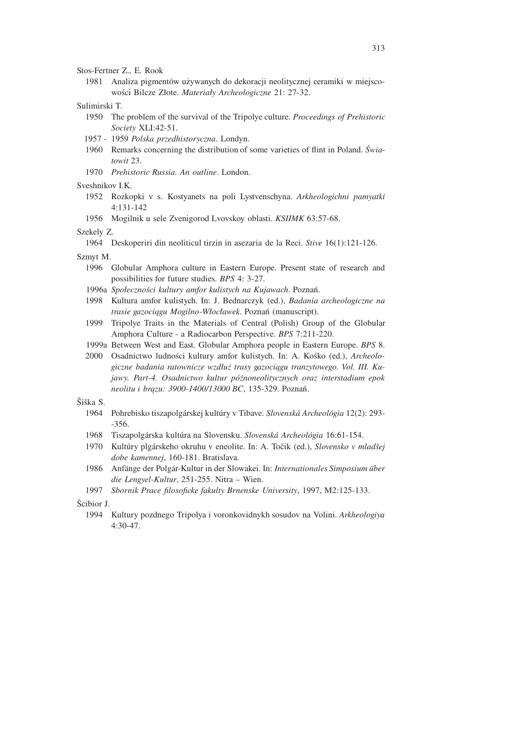## Stos-Fertner Z., E. Rook

1981 Analiza pigmentów używanych do dekoracji neolitycznej ceramiki w miejscowości Bilcze Złote. *Materiały Archeologiczne* 21: 27-32.

### Sulimirski T.

- 1950 The problem of the survival of the Tripolye culture. *Proceedings of Prehistoric Society* XLI:42-51.
- 1957 1959 *Polska przedhistoryczna*. Londyn.
- 1960 Remarks concerning the distribution of some varieties of flint in Poland. *Światowit* 23.
- 1970 *Prehistoric Russia. An outline*. London.

## Sveshnikov I.K.

- 1952 Rozkopki v s. Kostyanets na poli Lystvenschyna. *Arkheologichni pamyatki* 4:131-142
- 1956 Mogilnik u sele Zvenigorod Lvovskoy oblasti. *KSIIMK* 63:57-68.

#### Szekely Z.

- 1964 Deskoperiri din neoliticul tirzin in asezaria de la Reci. *Stive* 16(1):121-126.
- Szmyt M.
	- 1996 Globular Amphora culture in Eastern Europe. Present state of research and possibilities for future studies. *BPS* 4: 3-27.
	- 1996a *Społeczności kultury amfor kulistych na Kujawach*. Poznań.
	- 1998 Kultura amfor kulistych. In: J. Bednarczyk (ed.), *Badania archeologiczne na trasie gazociągu Mogilno-Włocławek*. Poznań (manuscript).
	- 1999 Tripolye Traits in the Materials of Central (Polish) Group of the Globular Amphora Culture - a Radiocarbon Perspective. *BPS* 7:211-220.
	- 1999a Between West and East. Globular Amphora people in Eastern Europe. *BPS* 8.
	- 2000 Osadnictwo ludności kultury amfor kulistych. In: A. Kośko (ed.), *Archeologiczne badania ratownicze wzdłuż trasy gazociągu tranzytowego. Vol. III. Kujawy. Part-4. Osadnictwo kultur późnoneolitycznych oraz interstadium epok neolitu i brązu: 3900-1400/13000 BC*, 135-329. Poznań.

## Šiška S

- 1964 Pohrebisko tiszapolgárskej kultúry v Tibave. *Slovenská Archeológia* 12(2): 293--356.
- 1968 Tiszapolgárska kultúra na Slovensku. *Slovenská Archeológia* 16:61-154.
- 1970 Kultúry plgárskeho okruhu v eneolite. In: A. Točik (ed.), *Slovensko v mladšej dobe kamennej*, 160-181. Bratislava.
- 1986 Anfänge der Polgár-Kultur in der Slowakei. In: *Internationales Simposium über die Lengyel-Kultur*, 251-255. Nitra – Wien.
- 1997 *Sbornik Prace filosoficke fakulty Brnenske University*, 1997, M2:125-133.

## Ścibior J.

1994 Kultury pozdnego Tripolya i voronkovidnykh sosudov na Volini. *Arkheologiya* 4:30-47.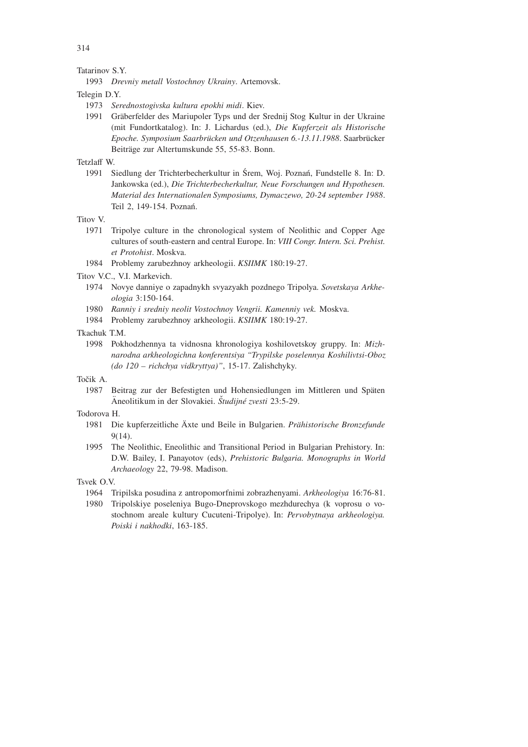Tatarinov S.Y.

1993 *Drevniy metall Vostochnoy Ukrainy*. Artemovsk.

Telegin D.Y.

- 1973 *Serednostogivska kultura epokhi midi*. Kiev.
- 1991 Gräberfelder des Mariupoler Typs und der Srednij Stog Kultur in der Ukraine (mit Fundortkatalog). In: J. Lichardus (ed.), *Die Kupferzeit als Historische* Epoche. Symposium Saarbrücken und Otzenhausen 6.-13.11.1988. Saarbrücker Beiträge zur Altertumskunde 55, 55-83. Bonn.

Tetzlaff W.

1991 Siedlung der Trichterbecherkultur in Śrem, Woj. Poznań, Fundstelle 8. In: D. Jankowska (ed.), *Die Trichterbecherkultur, Neue Forschungen und Hypothesen. Material des Internationalen Symposiums, Dymaczewo, 20-24 september 1988*. Teil 2, 149-154. Poznań.

## Titov V.

- 1971 Tripolye culture in the chronological system of Neolithic and Copper Age cultures of south-eastern and central Europe. In: *VIII Congr. Intern. Sci. Prehist. et Protohist*. Moskva.
- 1984 Problemy zarubezhnoy arkheologii. *KSIIMK* 180:19-27.

Titov V.C., V.I. Markevich.

- 1974 Novye danniye o zapadnykh svyazyakh pozdnego Tripolya. *Sovetskaya Arkheologia* 3:150-164.
- 1980 *Ranniy i sredniy neolit Vostochnoy Vengrii. Kamenniy vek.* Moskva.
- 1984 Problemy zarubezhnoy arkheologii. *KSIIMK* 180:19-27.
- Tkachuk TM
	- 1998 Pokhodzhennya ta vidnosna khronologiya koshilovetskoy gruppy. In: *Mizhnarodna arkheologichna konferentsiya "Trypilske poselennya Koshilivtsi-Oboz (do 120 – richchya vidkryttya)"*, 15-17. Zalishchyky.

## Točik A

1987 Beitrag zur der Befestigten und Hohensiedlungen im Mittleren und Späten Äneolitikum in der Slovakiei. *Študijné zvesti* 23:5-29.

## Todorova H.

- 1981 Die kupferzeitliche Äxte und Beile in Bulgarien. Prähistorische Bronzefunde 9(14).
- 1995 The Neolithic, Eneolithic and Transitional Period in Bulgarian Prehistory. In: D.W. Bailey, I. Panayotov (eds), *Prehistoric Bulgaria. Monographs in World Archaeology* 22, 79-98. Madison.

Tsvek O.V.

- 1964 Tripilska posudina z antropomorfnimi zobrazhenyami. *Arkheologiya* 16:76-81.
- 1980 Tripolskiye poseleniya Bugo-Dneprovskogo mezhdurechya (k voprosu o vostochnom areale kultury Cucuteni-Tripolye). In: *Pervobytnaya arkheologiya. Poiski i nakhodki*, 163-185.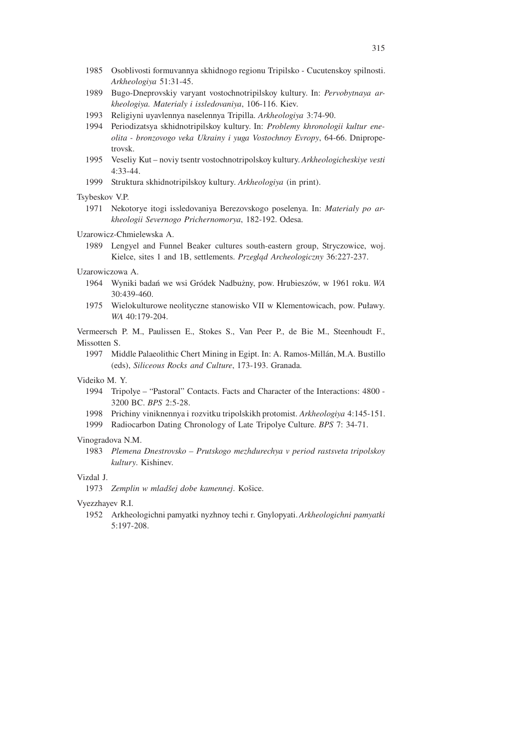- 1985 Osoblivosti formuvannya skhidnogo regionu Tripilsko Cucutenskoy spilnosti. *Arkheologiya* 51:31-45.
- 1989 Bugo-Dneprovskiy varyant vostochnotripilskoy kultury. In: *Pervobytnaya arkheologiya. Materialy i issledovaniya*, 106-116. Kiev.
- 1993 Religiyni uyavlennya naselennya Tripilla. *Arkheologiya* 3:74-90.
- 1994 Periodizatsya skhidnotripilskoy kultury. In: *Problemy khronologii kultur eneolita - bronzovogo veka Ukrainy i yuga Vostochnoy Evropy*, 64-66. Dnipropetrovsk.
- 1995 Veseliy Kut noviy tsentr vostochnotripolskoy kultury. *Arkheologicheskiye vesti* 4:33-44.
- 1999 Struktura skhidnotripilskoy kultury. *Arkheologiya* (in print).

#### Tsybeskov V.P.

1971 Nekotorye itogi issledovaniya Berezovskogo poselenya. In: *Materialy po arkheologii Severnogo Prichernomorya*, 182-192. Odesa.

#### Uzarowicz-Chmielewska A.

1989 Lengyel and Funnel Beaker cultures south-eastern group, Stryczowice, woj. Kielce, sites 1 and 1B, settlements. *Przegląd Archeologiczny* 36:227-237.

## Uzarowiczowa A.

- 1964 Wyniki badań we wsi Gródek Nadbużny, pow. Hrubieszów, w 1961 roku. *WA* 30:439-460.
- 1975 Wielokulturowe neolityczne stanowisko VII w Klementowicach, pow. Puławy. *WA* 40:179-204.

Vermeersch P. M., Paulissen E., Stokes S., Van Peer P., de Bie M., Steenhoudt F., Missotten S.

1997 Middle Palaeolithic Chert Mining in Egipt. In: A. Ramos-Mill´an, M.A. Bustillo (eds), *Siliceous Rocks and Culture*, 173-193. Granada.

#### Videiko M. Y.

- 1994 Tripolye "Pastoral" Contacts. Facts and Character of the Interactions: 4800 3200 BC. *BPS* 2:5-28.
- 1998 Prichiny viniknennya i rozvitku tripolskikh protomist. *Arkheologiya* 4:145-151.
- 1999 Radiocarbon Dating Chronology of Late Tripolye Culture. *BPS* 7: 34-71.

#### Vinogradova N.M.

1983 *Plemena Dnestrovsko – Prutskogo mezhdurechya v period rastsveta tripolskoy kultury*. Kishinev.

# Vizdal J.

1973 *Zemplin w mladšej dobe kamennej*. Košice.

#### Vyezzhayev R.I.

1952 Arkheologichni pamyatki nyzhnoy techi r. Gnylopyati. *Arkheologichni pamyatki* 5:197-208.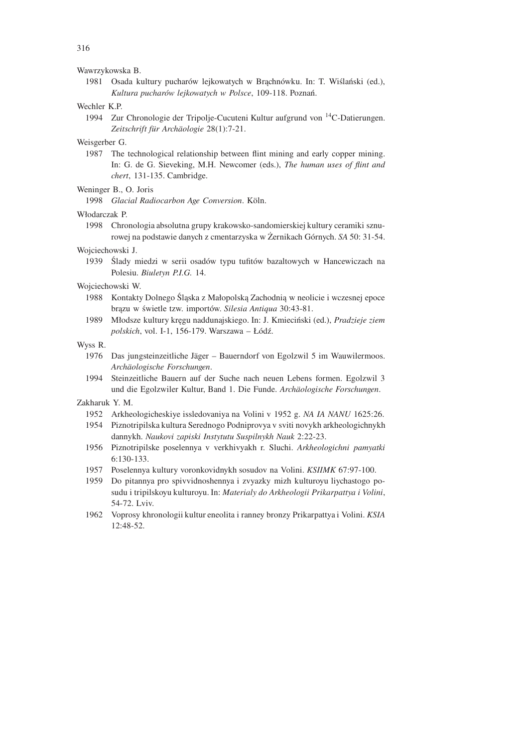#### Wawrzykowska B.

1981 Osada kultury pucharów lejkowatych w Brąchnówku. In: T. Wiślański (ed.), *Kultura pucharów lejkowatych w Polsce*, 109-118. Poznań.

### Wechler K.P.

1994 Zur Chronologie der Tripolje-Cucuteni Kultur aufgrund von <sup>14</sup>C-Datierungen. Zeitschrift für Archäologie 28(1):7-21.

## Weisgerber G.

1987 The technological relationship between flint mining and early copper mining. In: G. de G. Sieveking, M.H. Newcomer (eds.), *The human uses of flint and chert*, 131-135. Cambridge.

#### Weninger B., O. Joris

1998 *Glacial Radiocarbon Age Conversion*. Köln.

#### Włodarczak P.

1998 Chronologia absolutna grupy krakowsko-sandomierskiej kultury ceramiki sznurowej na podstawie danych z cmentarzyska w Żernikach Górnych. *SA* 50: 31-54.

#### Wojciechowski J.

1939 Ślady miedzi w serii osadów typu tufitów bazaltowych w Hancewiczach na Polesiu. *Biuletyn P.I.G.* 14.

#### Wojciechowski W.

- 1988 Kontakty Dolnego Śląska z Małopolską Zachodnią w neolicie i wczesnej epoce brązu w świetle tzw. importów. *Silesia Antiqua* 30:43-81.
- 1989 Młodsze kultury kręgu naddunajskiego. In: J. Kmieciński (ed.), *Pradzieje ziem polskich*, vol. I-1, 156-179. Warszawa – Łódź.

### Wyss R.

- 1976 Das jungsteinzeitliche Jäger Bauerndorf von Egolzwil 5 im Wauwilermoos. *Arch¨aologische Forschungen*.
- 1994 Steinzeitliche Bauern auf der Suche nach neuen Lebens formen. Egolzwil 3 und die Egolzwiler Kultur, Band 1. Die Funde. *Arch¨aologische Forschungen*.

#### Zakharuk Y. M.

- 1952 Arkheologicheskiye issledovaniya na Volini v 1952 g. *NA IA NANU* 1625:26.
- 1954 Piznotripilska kultura Serednogo Podniprovya v sviti novykh arkheologichnykh dannykh. *Naukovi zapiski Instytutu Suspilnykh Nauk* 2:22-23.
- 1956 Piznotripilske poselennya v verkhivyakh r. Sluchi. *Arkheologichni pamyatki* 6:130-133.
- 1957 Poselennya kultury voronkovidnykh sosudov na Volini. *KSIIMK* 67:97-100.
- 1959 Do pitannya pro spivvidnoshennya i zvyazky mizh kulturoyu liychastogo posudu i tripilskoyu kulturoyu. In: *Materialy do Arkheologii Prikarpattya i Volini*, 54-72. Lviv.
- 1962 Voprosy khronologii kultur eneolita i ranney bronzy Prikarpattya i Volini. *KSIA* 12:48-52.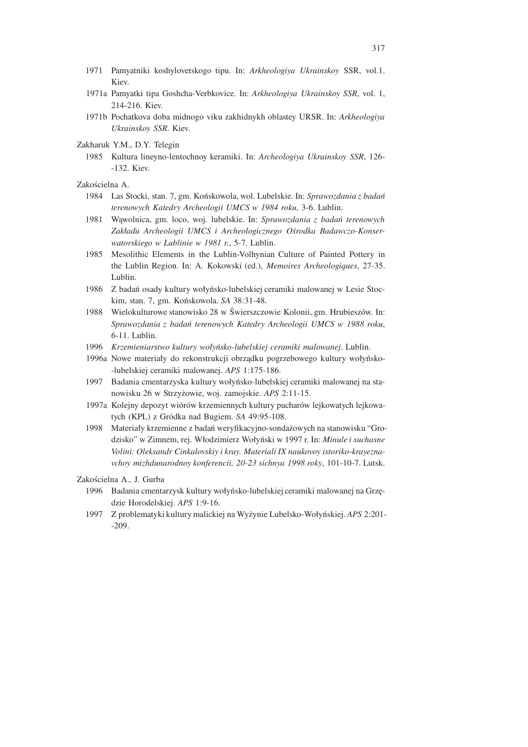- 1971 Pamyatniki koshylovetskogo tipu. In: *Arkheologiya Ukrainskoy* SSR, vol.1. Kiev.
- 1971a Pamyatki tipa Goshcha-Verbkovice. In: *Arkheologiya Ukrainskoy SSR*, vol. 1, 214-216. Kiev.
- 1971b Pochatkova doba midnogo viku zakhidnykh oblastey URSR. In: *Arkheologiya Ukrainskoy SSR*. Kiev.
- Zakharuk Y.M., D.Y. Telegin
	- 1985 Kultura lineyno-lentochnoy keramiki. In: *Archeologiya Ukrainskoy SSR*, 126- -132. Kiev.
- Zakościelna A.
	- 1984 Las Stocki, stan. 7, gm. Końskowola, wol. Lubelskie. In: *Sprawozdania z badań terenowych Katedry Archeologii UMCS w 1984 roku*, 3-6. Lublin.
	- 1981 Wąwolnica, gm. loco, woj. lubelskie. In: *Sprawozdania z badań terenowych Zakładu Archeologii UMCS i Archeologicznego Ośrodka Badawczo-Konserwatorskiego w Lublinie w 1981 r.*, 5-7. Lublin.
	- 1985 Mesolithic Elements in the Lublin-Volhynian Culture of Painted Pottery in the Lublin Region. In: A. Kokowski (ed.), *Memoires Archeologiques*, 27-35. Lublin.
	- 1986 Z badań osady kultury wołyńsko-lubelskiej ceramiki malowanej w Lesie Stockim, stan. 7, gm. Końskowola. *SA* 38:31-48.
	- 1988 Wielokulturowe stanowisko 28 w Świerszczowie Kolonii, gm. Hrubieszów. In: *Sprawozdania z badań terenowych Katedry Archeologii UMCS w 1988 roku*, 6-11. Lublin.
	- 1996 *Krzemieniarstwo kultury wołyńsko-lubelskiej ceramiki malowanej*. Lublin.
	- 1996a Nowe materiały do rekonstrukcji obrządku pogrzebowego kultury wołyńsko- -lubelskiej ceramiki malowanej. *APS* 1:175-186.
	- 1997 Badania cmentarzyska kultury wołyńsko-lubelskiej ceramiki malowanej na stanowisku 26 w Strzyżowie, woj. zamojskie. *APS* 2:11-15.
	- 1997a Kolejny depozyt wiórów krzemiennych kultury pucharów lejkowatych lejkowatych (KPL) z Gródka nad Bugiem. *SA* 49:95-108.
	- 1998 Materiały krzemienne z badań weryfikacyjno-sondażowych na stanowisku "Grodzisko" w Zimnem, rej. Włodzimierz Wołyński w 1997 r. In: *Minule i suchasne Volini: Oleksandr Cinkalovskiy i kray. Materiali IX naukovoy istoriko-krayeznavchoy mizhdunarodnoy konferencii, 20-23 sichnya 1998 roky*, 101-10-7. Lutsk.

Zakościelna A., J. Gurba

- 1996 Badania cmentarzysk kultury wołyńsko-lubelskiej ceramiki malowanej na Grzędzie Horodelskiej. *APS* 1:9-16.
- 1997 Z problematyki kultury malickiej na Wyżynie Lubelsko-Wołyńskiej. *APS* 2:201- -209.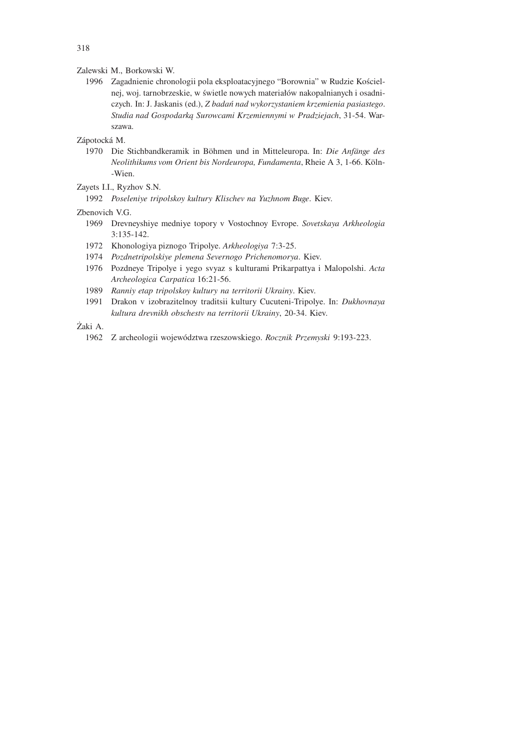Zalewski M., Borkowski W.

1996 Zagadnienie chronologii pola eksploatacyjnego "Borownia" w Rudzie Kościelnej, woj. tarnobrzeskie, w świetle nowych materiałów nakopalnianych i osadniczych. In: J. Jaskanis (ed.), *Z badań nad wykorzystaniem krzemienia pasiastego*. *Studia nad Gospodarką Surowcami Krzemiennymi w Pradziejach*, 31-54. Warszawa.

## Zápotocká M.

1970 Die Stichbandkeramik in Böhmen und in Mitteleuropa. In: *Die Anfänge des Neolithikums vom Orient bis Nordeuropa, Fundamenta, Rheie A 3, 1-66. Köln-*-Wien.

## Zayets I.I., Ryzhov S.N.

1992 *Poseleniye tripolskoy kultury Klischev na Yuzhnom Buge*. Kiev.

## Zbenovich V.G.

- 1969 Drevneyshiye medniye topory v Vostochnoy Evrope. *Sovetskaya Arkheologia* 3:135-142.
- 1972 Khonologiya piznogo Tripolye. *Arkheologiya* 7:3-25.
- 1974 *Pozdnetripolskiye plemena Severnogo Prichenomorya*. Kiev.
- 1976 Pozdneye Tripolye i yego svyaz s kulturami Prikarpattya i Malopolshi. *Acta Archeologica Carpatica* 16:21-56.
- 1989 *Ranniy etap tripolskoy kultury na territorii Ukrainy*. Kiev.
- 1991 Drakon v izobrazitelnoy traditsii kultury Cucuteni-Tripolye. In: *Dukhovnaya kultura drevnikh obschestv na territorii Ukrainy*, 20-34. Kiev.

## Żaki A.

1962 Z archeologii województwa rzeszowskiego. *Rocznik Przemyski* 9:193-223.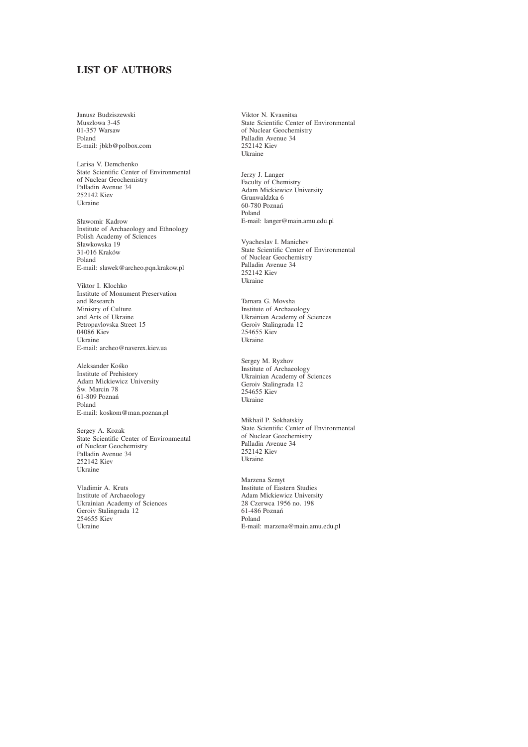# **LIST OF AUTHORS**

Janusz Budziszewski Muszlowa 3-45 01-357 Warsaw Poland E-mail: jbkb@polbox.com

Larisa V. Demchenko State Scientific Center of Environmental of Nuclear Geochemistry Palladin Avenue 34 252142 Kiev Ukraine

Sławomir Kadrow Institute of Archaeology and Ethnology Polish Academy of Sciences Sławkowska 19 31-016 Kraków Poland E-mail: slawek@archeo.pqn.krakow.pl

Viktor I. Klochko Institute of Monument Preservation and Research Ministry of Culture and Arts of Ukraine Petropavlovska Street 15 04086 Kiev Ukraine E-mail: archeo@naverex.kiev.ua

Aleksander Kośko Institute of Prehistory Adam Mickiewicz University Św. Marcin 78 61-809 Poznań Poland E-mail: koskom@man.poznan.pl

Sergey A. Kozak State Scientific Center of Environmental of Nuclear Geochemistry Palladin Avenue 34 252142 Kiev Ukraine

Vladimir A. Kruts Institute of Archaeology Ukrainian Academy of Sciences Geroiv Stalingrada 12 254655 Kiev Ukraine

Viktor N. Kvasnitsa State Scientific Center of Environmental of Nuclear Geochemistry Palladin Avenue 34 252142 Kiev Ukraine

Jerzy J. Langer Faculty of Chemistry Adam Mickiewicz University Grunwaldzka 6 60-780 Poznań Poland E-mail: langer@main.amu.edu.pl

Vyacheslav I. Manichev State Scientific Center of Environmental of Nuclear Geochemistry Palladin Avenue 34 252142 Kiev Ukraine

Tamara G. Movsha Institute of Archaeology Ukrainian Academy of Sciences Geroiv Stalingrada 12 254655 Kiev Ukraine

Sergey M. Ryzhov Institute of Archaeology Ukrainian Academy of Sciences Geroiv Stalingrada 12 254655 Kiev Ukraine

Mikhail P. Sokhatskiy State Scientific Center of Environmental of Nuclear Geochemistry Palladin Avenue 34 252142 Kiev Ukraine

Marzena Szmyt Institute of Eastern Studies Adam Mickiewicz University 28 Czerwca 1956 no. 198 61-486 Poznań Poland E-mail: marzena@main.amu.edu.pl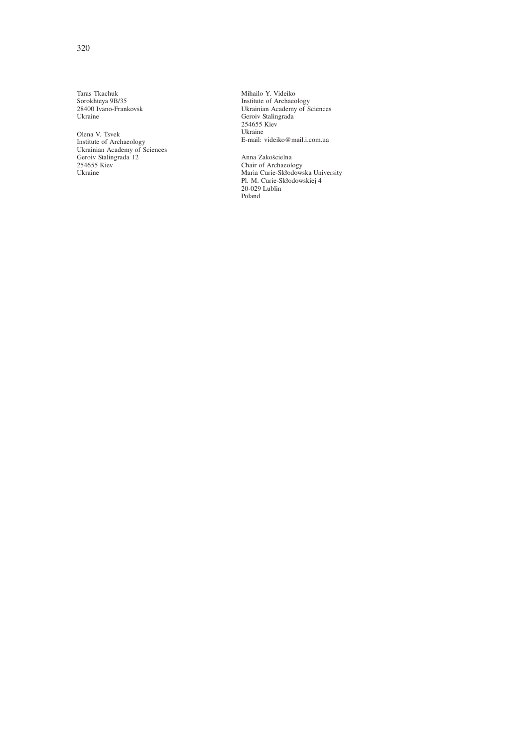Taras Tkachuk Sorokhteya 9B/35 28400 Ivano-Frankovsk Ukraine

Olena V. Tsvek Institute of Archaeology Ukrainian Academy of Sciences Geroiv Stalingrada 12 254655 Kiev Ukraine

Mihailo Y. Videiko Institute of Archaeology Ukrainian Academy of Sciences Geroiv Stalingrada 254655 Kiev Ukraine E-mail: videiko@mail.i.com.ua

Anna Zakościelna Chair of Archaeology Maria Curie-Skłodowska University Pl. M. Curie-Skłodowskiej 4 20-029 Lublin Poland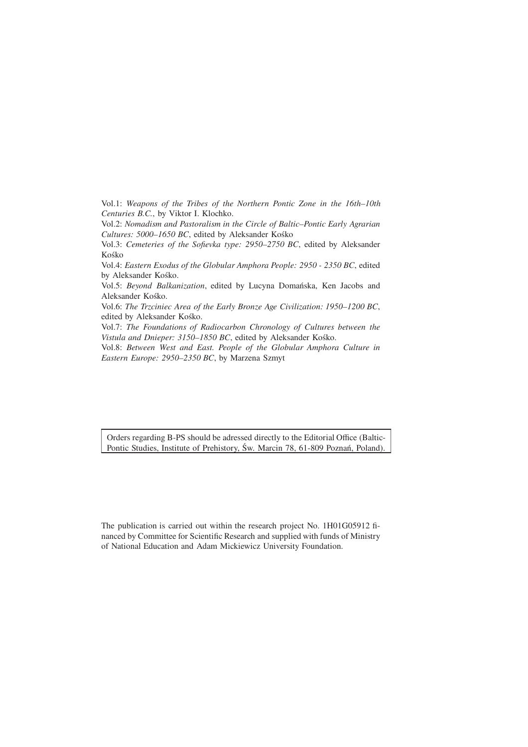Vol.1: *Weapons of the Tribes of the Northern Pontic Zone in the 16th–10th Centuries B.C.*, by Viktor I. Klochko.

Vol.2: *Nomadism and Pastoralism in the Circle of Baltic–Pontic Early Agrarian Cultures: 5000–1650 BC*, edited by Aleksander Kośko

Vol.3: *Cemeteries of the Sofievka type: 2950–2750 BC*, edited by Aleksander Kośko

Vol.4: *Eastern Exodus of the Globular Amphora People: 2950 - 2350 BC*, edited by Aleksander Kośko.

Vol.5: *Beyond Balkanization*, edited by Lucyna Domańska, Ken Jacobs and Aleksander Kośko.

Vol.6: *The Trzciniec Area of the Early Bronze Age Civilization: 1950–1200 BC*, edited by Aleksander Kośko.

Vol.7: *The Foundations of Radiocarbon Chronology of Cultures between the Vistula and Dnieper: 3150–1850 BC*, edited by Aleksander Kośko.

Vol.8: *Between West and East. People of the Globular Amphora Culture in Eastern Europe: 2950–2350 BC*, by Marzena Szmyt

Orders regarding B-PS should be adressed directly to the Editorial Office (Baltic-Pontic Studies, Institute of Prehistory, Św. Marcin 78, 61-809 Poznań, Poland).

The publication is carried out within the research project No. 1H01G05912 financed by Committee for Scientific Research and supplied with funds of Ministry of National Education and Adam Mickiewicz University Foundation.